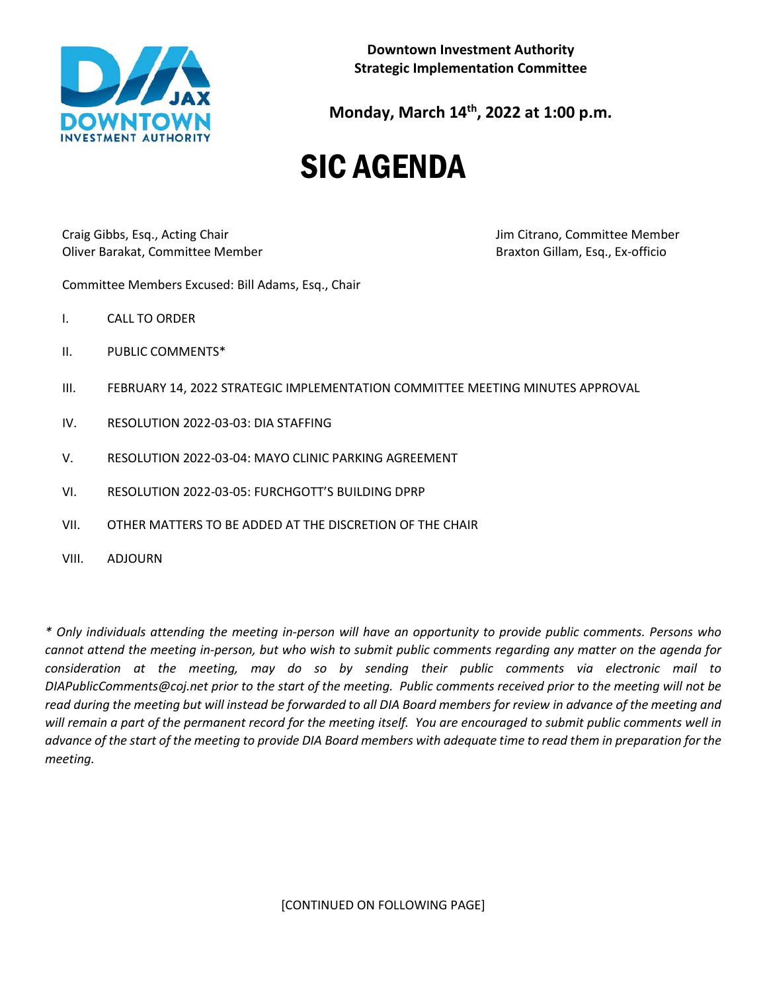

**Monday, March 14th, 2022 at 1:00 p.m.**

# SIC AGENDA

Craig Gibbs, Esq., Acting Chair Jim Citrano, Committee Member Oliver Barakat, Committee Member Braxton Gillam, Esq., Ex-officio

Committee Members Excused: Bill Adams, Esq., Chair

- I. CALL TO ORDER
- II. PUBLIC COMMENTS\*
- III. FEBRUARY 14, 2022 STRATEGIC IMPLEMENTATION COMMITTEE MEETING MINUTES APPROVAL
- IV. RESOLUTION 2022-03-03: DIA STAFFING
- V. RESOLUTION 2022-03-04: MAYO CLINIC PARKING AGREEMENT
- VI. RESOLUTION 2022-03-05: FURCHGOTT'S BUILDING DPRP
- VII. OTHER MATTERS TO BE ADDED AT THE DISCRETION OF THE CHAIR
- VIII. ADJOURN

*\* Only individuals attending the meeting in-person will have an opportunity to provide public comments. Persons who cannot attend the meeting in-person, but who wish to submit public comments regarding any matter on the agenda for consideration at the meeting, may do so by sending their public comments via electronic mail to DIAPublicComments@coj.net prior to the start of the meeting. Public comments received prior to the meeting will not be read during the meeting but will instead be forwarded to all DIA Board members for review in advance of the meeting and will remain a part of the permanent record for the meeting itself. You are encouraged to submit public comments well in advance of the start of the meeting to provide DIA Board members with adequate time to read them in preparation for the meeting.*

[CONTINUED ON FOLLOWING PAGE]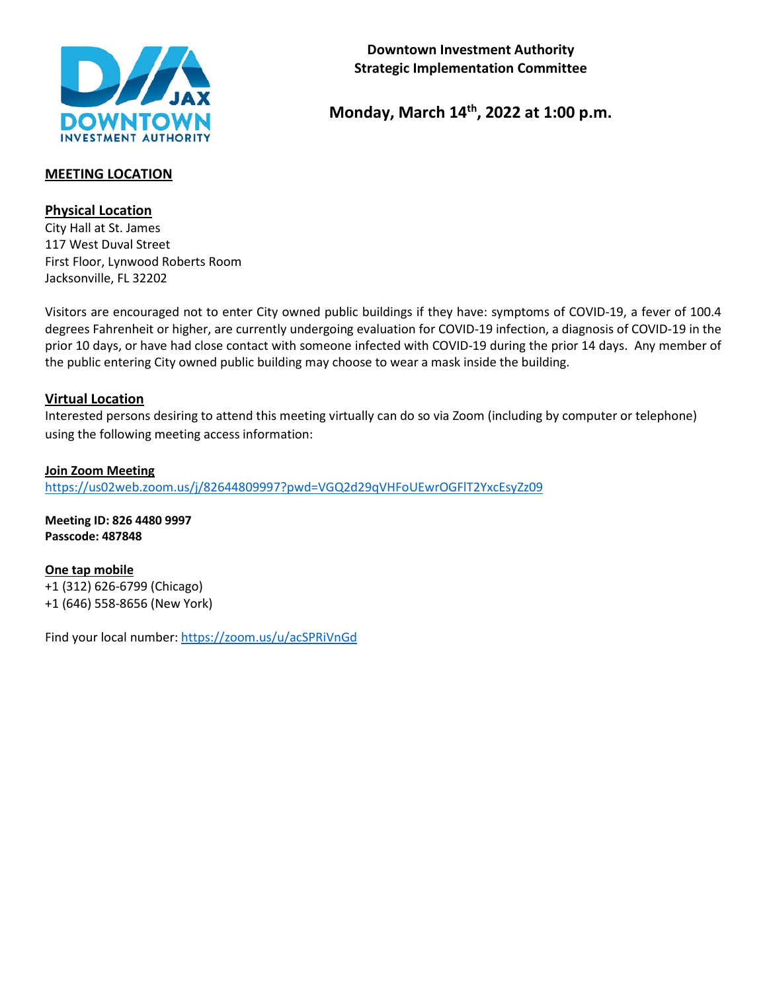

# **Monday, March 14th, 2022 at 1:00 p.m.**

# **MEETING LOCATION**

# **Physical Location**

City Hall at St. James 117 West Duval Street First Floor, Lynwood Roberts Room Jacksonville, FL 32202

Visitors are encouraged not to enter City owned public buildings if they have: symptoms of COVID-19, a fever of 100.4 degrees Fahrenheit or higher, are currently undergoing evaluation for COVID-19 infection, a diagnosis of COVID-19 in the prior 10 days, or have had close contact with someone infected with COVID-19 during the prior 14 days. Any member of the public entering City owned public building may choose to wear a mask inside the building.

## **Virtual Location**

Interested persons desiring to attend this meeting virtually can do so via Zoom (including by computer or telephone) using the following meeting access information:

**Join Zoom Meeting** <https://us02web.zoom.us/j/82644809997?pwd=VGQ2d29qVHFoUEwrOGFlT2YxcEsyZz09>

**Meeting ID: 826 4480 9997 Passcode: 487848**

**One tap mobile** +1 (312) 626-6799 (Chicago) +1 (646) 558-8656 (New York)

Find your local number[: https://zoom.us/u/acSPRiVnGd](https://zoom.us/u/acSPRiVnGd)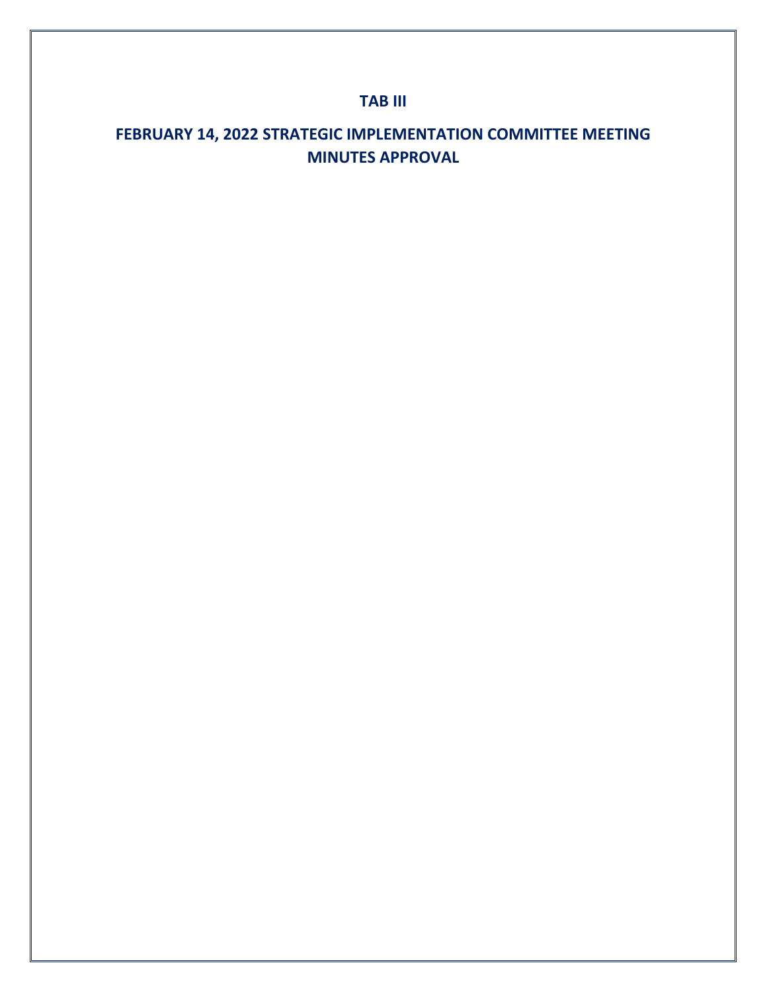# **TAB III**

# **FEBRUARY 14, 2022 STRATEGIC IMPLEMENTATION COMMITTEE MEETING MINUTES APPROVAL**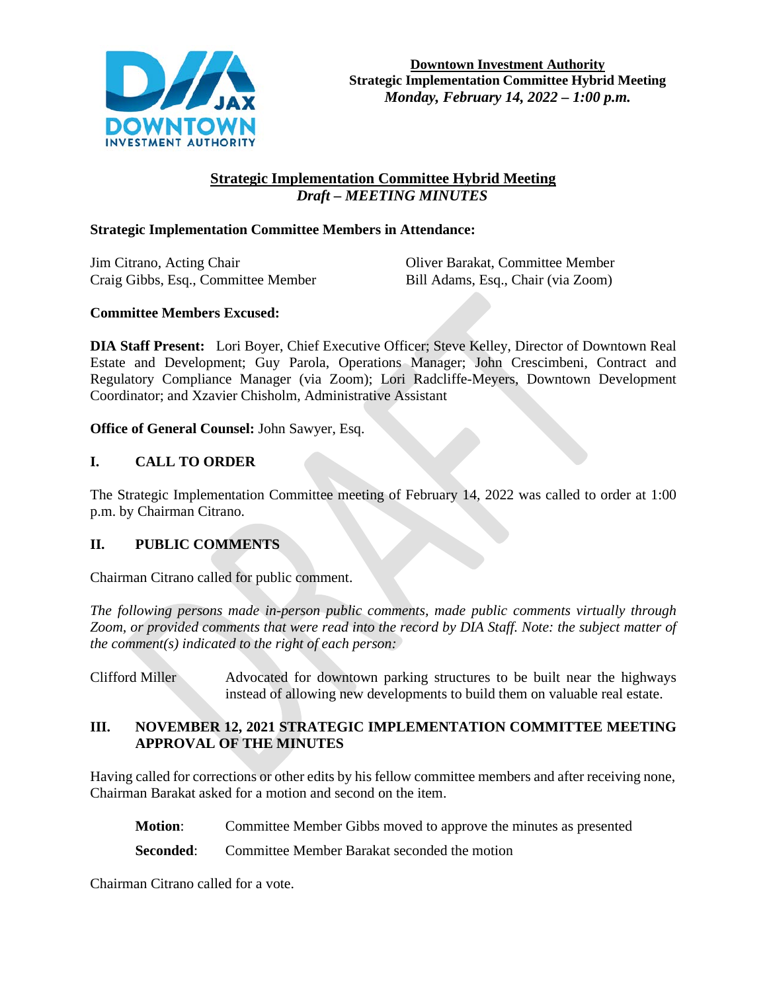

# **Strategic Implementation Committee Hybrid Meeting**  *Draft – MEETING MINUTES*

## **Strategic Implementation Committee Members in Attendance:**

Jim Citrano, Acting Chair Oliver Barakat, Committee Member Craig Gibbs, Esq., Committee Member Bill Adams, Esq., Chair (via Zoom)

# **Committee Members Excused:**

**DIA Staff Present:** Lori Boyer, Chief Executive Officer; Steve Kelley, Director of Downtown Real Estate and Development; Guy Parola, Operations Manager; John Crescimbeni, Contract and Regulatory Compliance Manager (via Zoom); Lori Radcliffe-Meyers, Downtown Development Coordinator; and Xzavier Chisholm, Administrative Assistant

**Office of General Counsel:** John Sawyer, Esq.

# **I. CALL TO ORDER**

The Strategic Implementation Committee meeting of February 14, 2022 was called to order at 1:00 p.m. by Chairman Citrano.

## **II. PUBLIC COMMENTS**

Chairman Citrano called for public comment.

*The following persons made in-person public comments, made public comments virtually through Zoom, or provided comments that were read into the record by DIA Staff. Note: the subject matter of the comment(s) indicated to the right of each person:*

Clifford Miller Advocated for downtown parking structures to be built near the highways instead of allowing new developments to build them on valuable real estate.

# **III. NOVEMBER 12, 2021 STRATEGIC IMPLEMENTATION COMMITTEE MEETING APPROVAL OF THE MINUTES**

Having called for corrections or other edits by his fellow committee members and after receiving none, Chairman Barakat asked for a motion and second on the item.

**Motion**: Committee Member Gibbs moved to approve the minutes as presented

**Seconded:** Committee Member Barakat seconded the motion

Chairman Citrano called for a vote.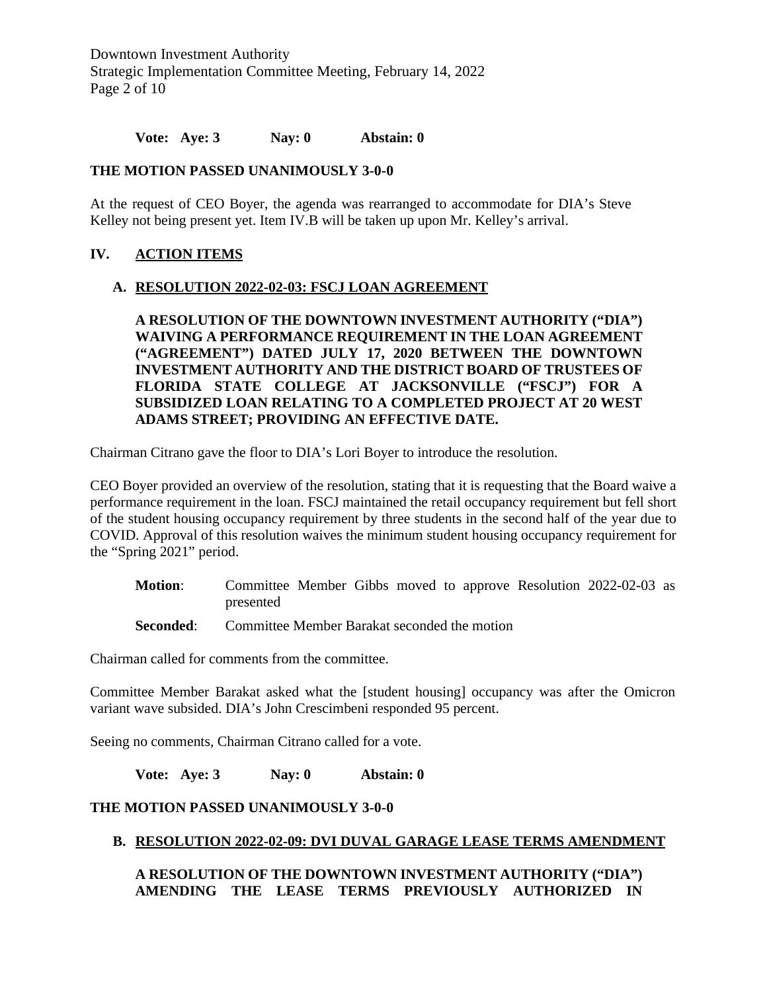Downtown Investment Authority Strategic Implementation Committee Meeting, February 14, 2022 Page 2 of 10

**Vote: Aye: 3 Nay: 0 Abstain: 0** 

## **THE MOTION PASSED UNANIMOUSLY 3-0-0**

At the request of CEO Boyer, the agenda was rearranged to accommodate for DIA's Steve Kelley not being present yet. Item IV.B will be taken up upon Mr. Kelley's arrival.

## **IV. ACTION ITEMS**

#### **A. RESOLUTION 2022-02-03: FSCJ LOAN AGREEMENT**

**A RESOLUTION OF THE DOWNTOWN INVESTMENT AUTHORITY ("DIA") WAIVING A PERFORMANCE REQUIREMENT IN THE LOAN AGREEMENT ("AGREEMENT") DATED JULY 17, 2020 BETWEEN THE DOWNTOWN INVESTMENT AUTHORITY AND THE DISTRICT BOARD OF TRUSTEES OF FLORIDA STATE COLLEGE AT JACKSONVILLE ("FSCJ") FOR A SUBSIDIZED LOAN RELATING TO A COMPLETED PROJECT AT 20 WEST ADAMS STREET; PROVIDING AN EFFECTIVE DATE.**

Chairman Citrano gave the floor to DIA's Lori Boyer to introduce the resolution.

CEO Boyer provided an overview of the resolution, stating that it is requesting that the Board waive a performance requirement in the loan. FSCJ maintained the retail occupancy requirement but fell short of the student housing occupancy requirement by three students in the second half of the year due to COVID. Approval of this resolution waives the minimum student housing occupancy requirement for the "Spring 2021" period.

- **Motion**: Committee Member Gibbs moved to approve Resolution 2022-02-03 as presented
- **Seconded:** Committee Member Barakat seconded the motion

Chairman called for comments from the committee.

Committee Member Barakat asked what the [student housing] occupancy was after the Omicron variant wave subsided. DIA's John Crescimbeni responded 95 percent.

Seeing no comments, Chairman Citrano called for a vote.

**Vote: Aye: 3 Nay: 0 Abstain: 0** 

## **THE MOTION PASSED UNANIMOUSLY 3-0-0**

## **B. RESOLUTION 2022-02-09: DVI DUVAL GARAGE LEASE TERMS AMENDMENT**

**A RESOLUTION OF THE DOWNTOWN INVESTMENT AUTHORITY ("DIA") AMENDING THE LEASE TERMS PREVIOUSLY AUTHORIZED IN**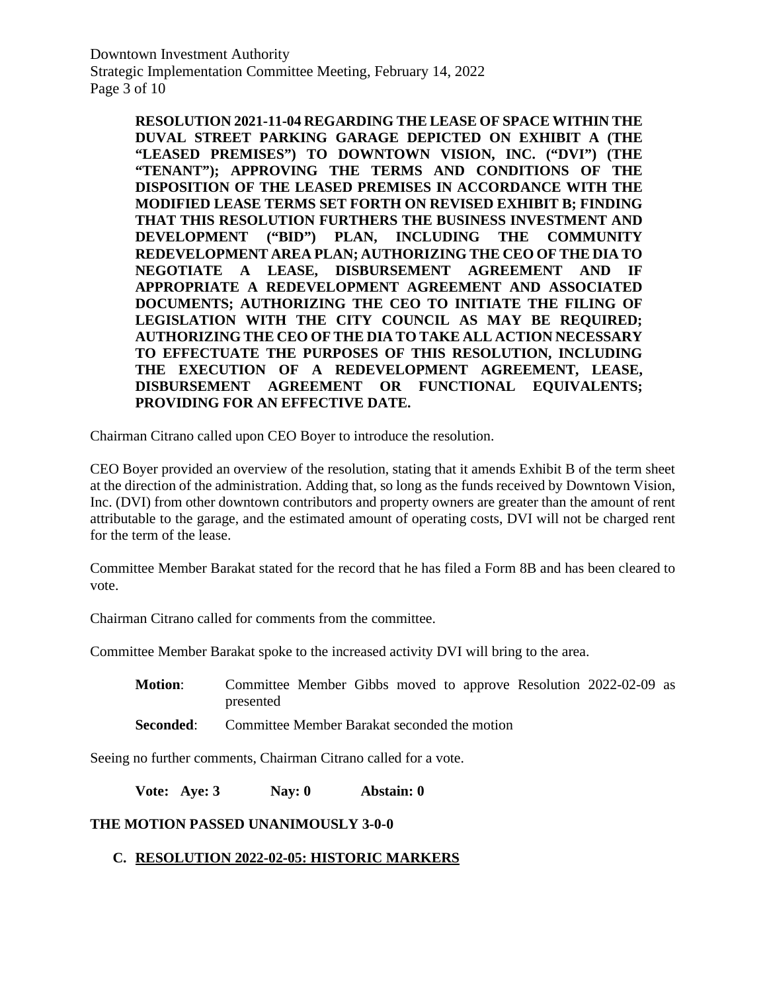Downtown Investment Authority Strategic Implementation Committee Meeting, February 14, 2022 Page 3 of 10

> **RESOLUTION 2021-11-04 REGARDING THE LEASE OF SPACE WITHIN THE DUVAL STREET PARKING GARAGE DEPICTED ON EXHIBIT A (THE "LEASED PREMISES") TO DOWNTOWN VISION, INC. ("DVI") (THE "TENANT"); APPROVING THE TERMS AND CONDITIONS OF THE DISPOSITION OF THE LEASED PREMISES IN ACCORDANCE WITH THE MODIFIED LEASE TERMS SET FORTH ON REVISED EXHIBIT B; FINDING THAT THIS RESOLUTION FURTHERS THE BUSINESS INVESTMENT AND DEVELOPMENT ("BID") PLAN, INCLUDING THE COMMUNITY REDEVELOPMENT AREA PLAN; AUTHORIZING THE CEO OF THE DIA TO NEGOTIATE A LEASE, DISBURSEMENT AGREEMENT AND IF APPROPRIATE A REDEVELOPMENT AGREEMENT AND ASSOCIATED DOCUMENTS; AUTHORIZING THE CEO TO INITIATE THE FILING OF LEGISLATION WITH THE CITY COUNCIL AS MAY BE REQUIRED; AUTHORIZING THE CEO OF THE DIA TO TAKE ALL ACTION NECESSARY TO EFFECTUATE THE PURPOSES OF THIS RESOLUTION, INCLUDING THE EXECUTION OF A REDEVELOPMENT AGREEMENT, LEASE, DISBURSEMENT AGREEMENT OR FUNCTIONAL EQUIVALENTS; PROVIDING FOR AN EFFECTIVE DATE.**

Chairman Citrano called upon CEO Boyer to introduce the resolution.

CEO Boyer provided an overview of the resolution, stating that it amends Exhibit B of the term sheet at the direction of the administration. Adding that, so long as the funds received by Downtown Vision, Inc. (DVI) from other downtown contributors and property owners are greater than the amount of rent attributable to the garage, and the estimated amount of operating costs, DVI will not be charged rent for the term of the lease.

Committee Member Barakat stated for the record that he has filed a Form 8B and has been cleared to vote.

Chairman Citrano called for comments from the committee.

Committee Member Barakat spoke to the increased activity DVI will bring to the area.

- **Motion**: Committee Member Gibbs moved to approve Resolution 2022-02-09 as presented
- **Seconded:** Committee Member Barakat seconded the motion

Seeing no further comments, Chairman Citrano called for a vote.

**Vote: Aye: 3 Nay: 0 Abstain: 0** 

## **THE MOTION PASSED UNANIMOUSLY 3-0-0**

# **C. RESOLUTION 2022-02-05: HISTORIC MARKERS**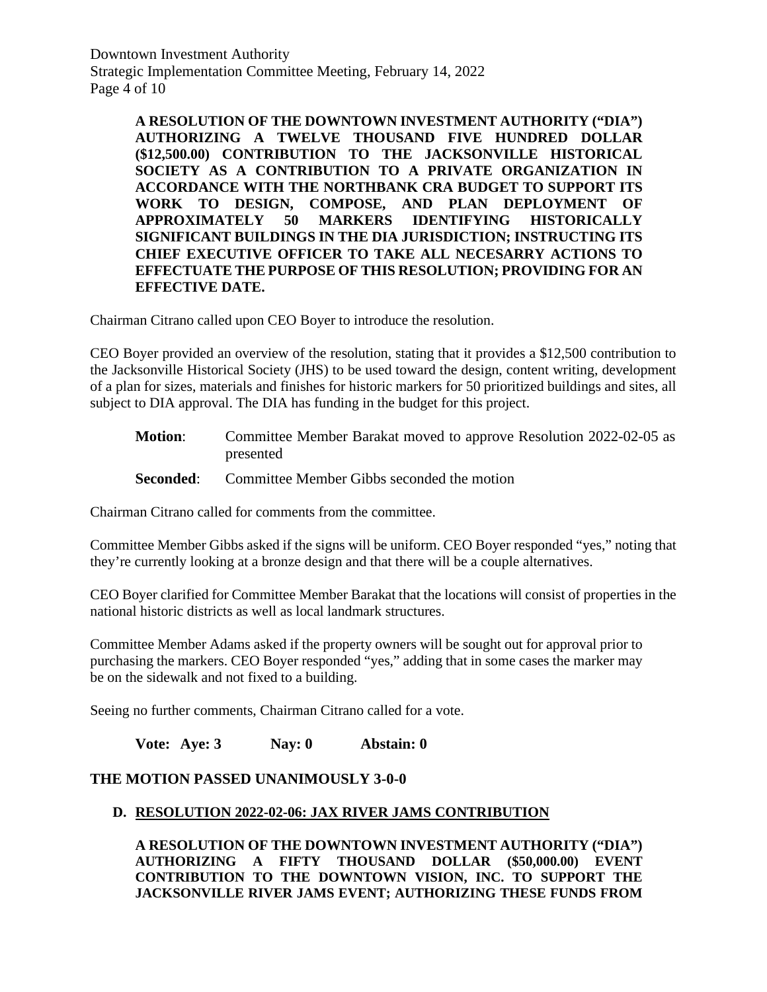Downtown Investment Authority Strategic Implementation Committee Meeting, February 14, 2022 Page 4 of 10

> **A RESOLUTION OF THE DOWNTOWN INVESTMENT AUTHORITY ("DIA") AUTHORIZING A TWELVE THOUSAND FIVE HUNDRED DOLLAR (\$12,500.00) CONTRIBUTION TO THE JACKSONVILLE HISTORICAL SOCIETY AS A CONTRIBUTION TO A PRIVATE ORGANIZATION IN ACCORDANCE WITH THE NORTHBANK CRA BUDGET TO SUPPORT ITS WORK TO DESIGN, COMPOSE, AND PLAN DEPLOYMENT OF APPROXIMATELY 50 MARKERS IDENTIFYING HISTORICALLY SIGNIFICANT BUILDINGS IN THE DIA JURISDICTION; INSTRUCTING ITS CHIEF EXECUTIVE OFFICER TO TAKE ALL NECESARRY ACTIONS TO EFFECTUATE THE PURPOSE OF THIS RESOLUTION; PROVIDING FOR AN EFFECTIVE DATE.**

Chairman Citrano called upon CEO Boyer to introduce the resolution.

CEO Boyer provided an overview of the resolution, stating that it provides a \$12,500 contribution to the Jacksonville Historical Society (JHS) to be used toward the design, content writing, development of a plan for sizes, materials and finishes for historic markers for 50 prioritized buildings and sites, all subject to DIA approval. The DIA has funding in the budget for this project.

- **Motion**: Committee Member Barakat moved to approve Resolution 2022-02-05 as presented
- **Seconded:** Committee Member Gibbs seconded the motion

Chairman Citrano called for comments from the committee.

Committee Member Gibbs asked if the signs will be uniform. CEO Boyer responded "yes," noting that they're currently looking at a bronze design and that there will be a couple alternatives.

CEO Boyer clarified for Committee Member Barakat that the locations will consist of properties in the national historic districts as well as local landmark structures.

Committee Member Adams asked if the property owners will be sought out for approval prior to purchasing the markers. CEO Boyer responded "yes," adding that in some cases the marker may be on the sidewalk and not fixed to a building.

Seeing no further comments, Chairman Citrano called for a vote.

**Vote: Aye: 3 Nay: 0 Abstain: 0** 

## **THE MOTION PASSED UNANIMOUSLY 3-0-0**

## **D. RESOLUTION 2022-02-06: JAX RIVER JAMS CONTRIBUTION**

**A RESOLUTION OF THE DOWNTOWN INVESTMENT AUTHORITY ("DIA") AUTHORIZING A FIFTY THOUSAND DOLLAR (\$50,000.00) EVENT CONTRIBUTION TO THE DOWNTOWN VISION, INC. TO SUPPORT THE JACKSONVILLE RIVER JAMS EVENT; AUTHORIZING THESE FUNDS FROM**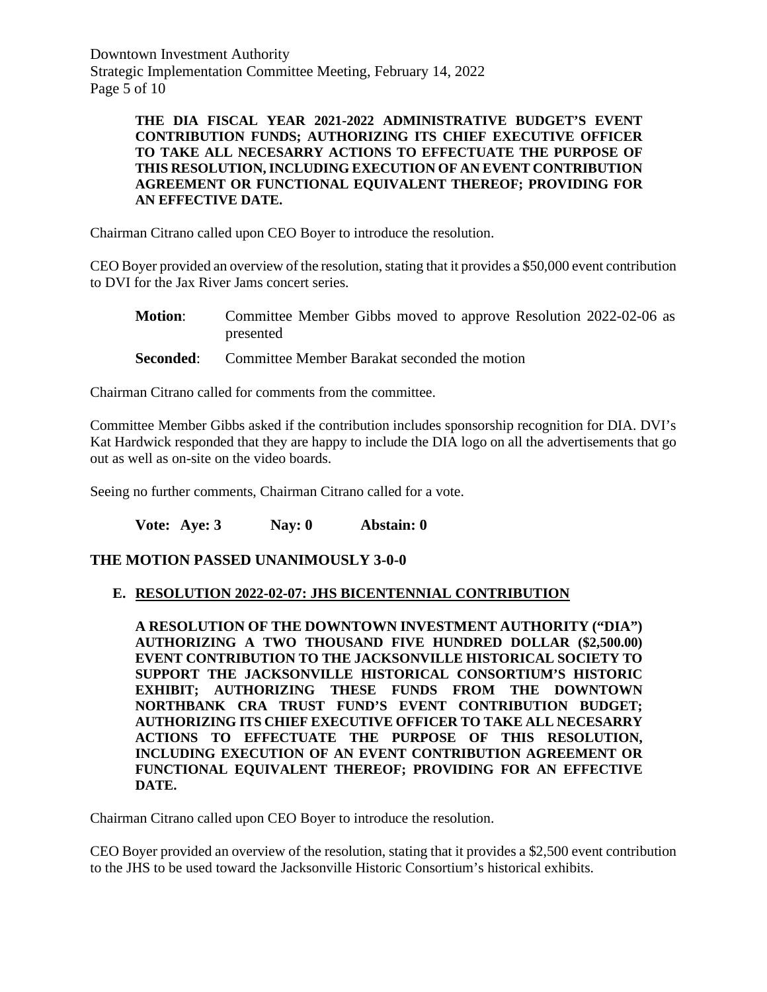Downtown Investment Authority Strategic Implementation Committee Meeting, February 14, 2022 Page 5 of 10

#### **THE DIA FISCAL YEAR 2021-2022 ADMINISTRATIVE BUDGET'S EVENT CONTRIBUTION FUNDS; AUTHORIZING ITS CHIEF EXECUTIVE OFFICER TO TAKE ALL NECESARRY ACTIONS TO EFFECTUATE THE PURPOSE OF THIS RESOLUTION, INCLUDING EXECUTION OF AN EVENT CONTRIBUTION AGREEMENT OR FUNCTIONAL EQUIVALENT THEREOF; PROVIDING FOR AN EFFECTIVE DATE.**

Chairman Citrano called upon CEO Boyer to introduce the resolution.

CEO Boyer provided an overview of the resolution, stating that it provides a \$50,000 event contribution to DVI for the Jax River Jams concert series.

- **Motion:** Committee Member Gibbs moved to approve Resolution 2022-02-06 as presented
- **Seconded:** Committee Member Barakat seconded the motion

Chairman Citrano called for comments from the committee.

Committee Member Gibbs asked if the contribution includes sponsorship recognition for DIA. DVI's Kat Hardwick responded that they are happy to include the DIA logo on all the advertisements that go out as well as on-site on the video boards.

Seeing no further comments, Chairman Citrano called for a vote.

**Vote: Aye: 3 Nay: 0 Abstain: 0** 

## **THE MOTION PASSED UNANIMOUSLY 3-0-0**

## **E. RESOLUTION 2022-02-07: JHS BICENTENNIAL CONTRIBUTION**

**A RESOLUTION OF THE DOWNTOWN INVESTMENT AUTHORITY ("DIA") AUTHORIZING A TWO THOUSAND FIVE HUNDRED DOLLAR (\$2,500.00) EVENT CONTRIBUTION TO THE JACKSONVILLE HISTORICAL SOCIETY TO SUPPORT THE JACKSONVILLE HISTORICAL CONSORTIUM'S HISTORIC EXHIBIT; AUTHORIZING THESE FUNDS FROM THE DOWNTOWN NORTHBANK CRA TRUST FUND'S EVENT CONTRIBUTION BUDGET; AUTHORIZING ITS CHIEF EXECUTIVE OFFICER TO TAKE ALL NECESARRY ACTIONS TO EFFECTUATE THE PURPOSE OF THIS RESOLUTION, INCLUDING EXECUTION OF AN EVENT CONTRIBUTION AGREEMENT OR FUNCTIONAL EQUIVALENT THEREOF; PROVIDING FOR AN EFFECTIVE DATE.**

Chairman Citrano called upon CEO Boyer to introduce the resolution.

CEO Boyer provided an overview of the resolution, stating that it provides a \$2,500 event contribution to the JHS to be used toward the Jacksonville Historic Consortium's historical exhibits.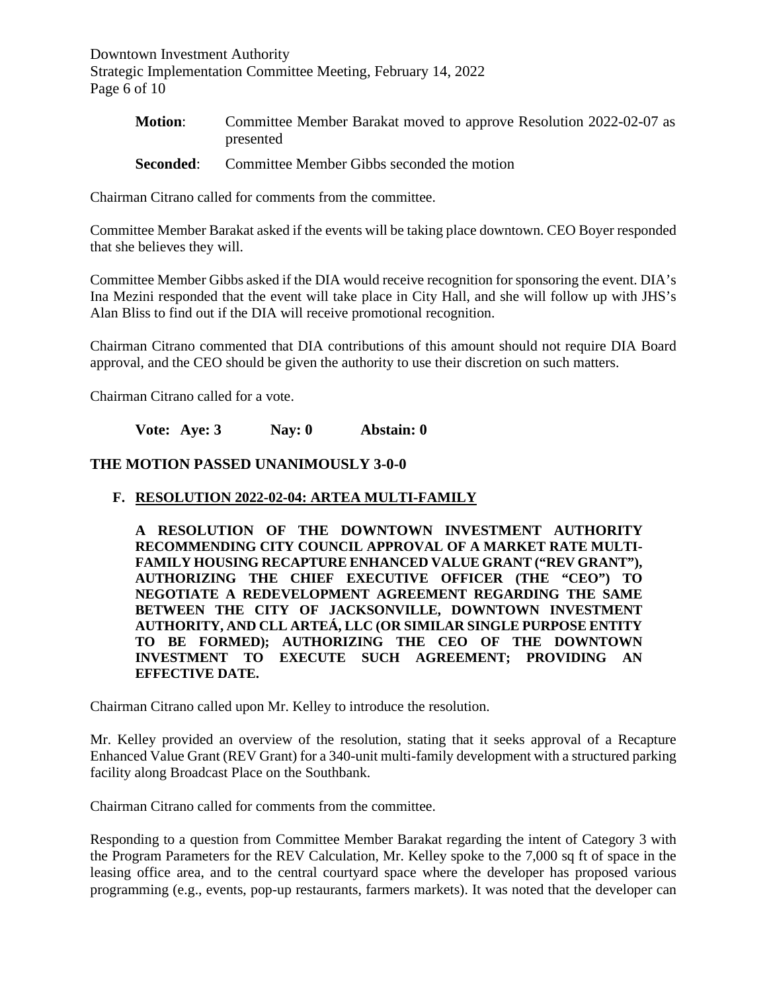Downtown Investment Authority Strategic Implementation Committee Meeting, February 14, 2022 Page 6 of 10

| <b>Motion:</b> | Committee Member Barakat moved to approve Resolution 2022-02-07 as |
|----------------|--------------------------------------------------------------------|
|                | presented                                                          |

**Seconded:** Committee Member Gibbs seconded the motion

Chairman Citrano called for comments from the committee.

Committee Member Barakat asked if the events will be taking place downtown. CEO Boyer responded that she believes they will.

Committee Member Gibbs asked if the DIA would receive recognition for sponsoring the event. DIA's Ina Mezini responded that the event will take place in City Hall, and she will follow up with JHS's Alan Bliss to find out if the DIA will receive promotional recognition.

Chairman Citrano commented that DIA contributions of this amount should not require DIA Board approval, and the CEO should be given the authority to use their discretion on such matters.

Chairman Citrano called for a vote.

**Vote: Aye: 3 Nay: 0 Abstain: 0** 

## **THE MOTION PASSED UNANIMOUSLY 3-0-0**

#### **F. RESOLUTION 2022-02-04: ARTEA MULTI-FAMILY**

**A RESOLUTION OF THE DOWNTOWN INVESTMENT AUTHORITY RECOMMENDING CITY COUNCIL APPROVAL OF A MARKET RATE MULTI-FAMILY HOUSING RECAPTURE ENHANCED VALUE GRANT ("REV GRANT"), AUTHORIZING THE CHIEF EXECUTIVE OFFICER (THE "CEO") TO NEGOTIATE A REDEVELOPMENT AGREEMENT REGARDING THE SAME BETWEEN THE CITY OF JACKSONVILLE, DOWNTOWN INVESTMENT AUTHORITY, AND CLL ARTEÁ, LLC (OR SIMILAR SINGLE PURPOSE ENTITY TO BE FORMED); AUTHORIZING THE CEO OF THE DOWNTOWN INVESTMENT TO EXECUTE SUCH AGREEMENT; PROVIDING AN EFFECTIVE DATE.**

Chairman Citrano called upon Mr. Kelley to introduce the resolution.

Mr. Kelley provided an overview of the resolution, stating that it seeks approval of a Recapture Enhanced Value Grant (REV Grant) for a 340-unit multi-family development with a structured parking facility along Broadcast Place on the Southbank.

Chairman Citrano called for comments from the committee.

Responding to a question from Committee Member Barakat regarding the intent of Category 3 with the Program Parameters for the REV Calculation, Mr. Kelley spoke to the 7,000 sq ft of space in the leasing office area, and to the central courtyard space where the developer has proposed various programming (e.g., events, pop-up restaurants, farmers markets). It was noted that the developer can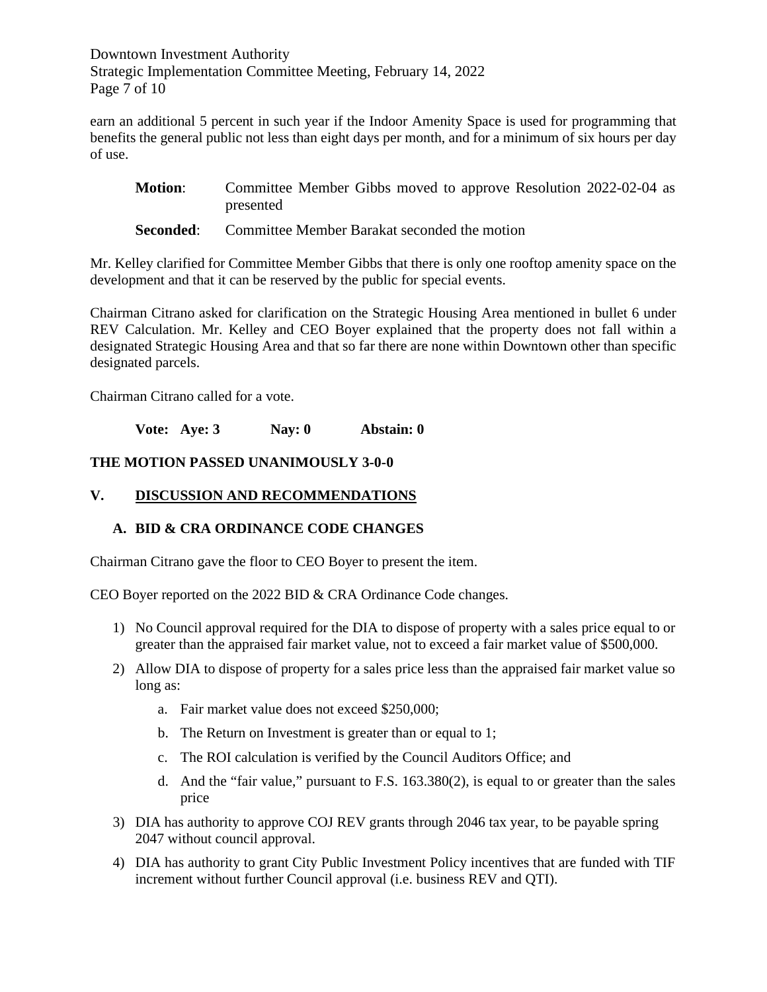Downtown Investment Authority Strategic Implementation Committee Meeting, February 14, 2022 Page 7 of 10

earn an additional 5 percent in such year if the Indoor Amenity Space is used for programming that benefits the general public not less than eight days per month, and for a minimum of six hours per day of use.

- **Motion:** Committee Member Gibbs moved to approve Resolution 2022-02-04 as presented
- **Seconded:** Committee Member Barakat seconded the motion

Mr. Kelley clarified for Committee Member Gibbs that there is only one rooftop amenity space on the development and that it can be reserved by the public for special events.

Chairman Citrano asked for clarification on the Strategic Housing Area mentioned in bullet 6 under REV Calculation. Mr. Kelley and CEO Boyer explained that the property does not fall within a designated Strategic Housing Area and that so far there are none within Downtown other than specific designated parcels.

Chairman Citrano called for a vote.

**Vote: Aye: 3 Nay: 0 Abstain: 0** 

## **THE MOTION PASSED UNANIMOUSLY 3-0-0**

#### **V. DISCUSSION AND RECOMMENDATIONS**

## **A. BID & CRA ORDINANCE CODE CHANGES**

Chairman Citrano gave the floor to CEO Boyer to present the item.

CEO Boyer reported on the 2022 BID & CRA Ordinance Code changes.

- 1) No Council approval required for the DIA to dispose of property with a sales price equal to or greater than the appraised fair market value, not to exceed a fair market value of \$500,000.
- 2) Allow DIA to dispose of property for a sales price less than the appraised fair market value so long as:
	- a. Fair market value does not exceed \$250,000;
	- b. The Return on Investment is greater than or equal to 1;
	- c. The ROI calculation is verified by the Council Auditors Office; and
	- d. And the "fair value," pursuant to F.S. 163.380(2), is equal to or greater than the sales price
- 3) DIA has authority to approve COJ REV grants through 2046 tax year, to be payable spring 2047 without council approval.
- 4) DIA has authority to grant City Public Investment Policy incentives that are funded with TIF increment without further Council approval (i.e. business REV and QTI).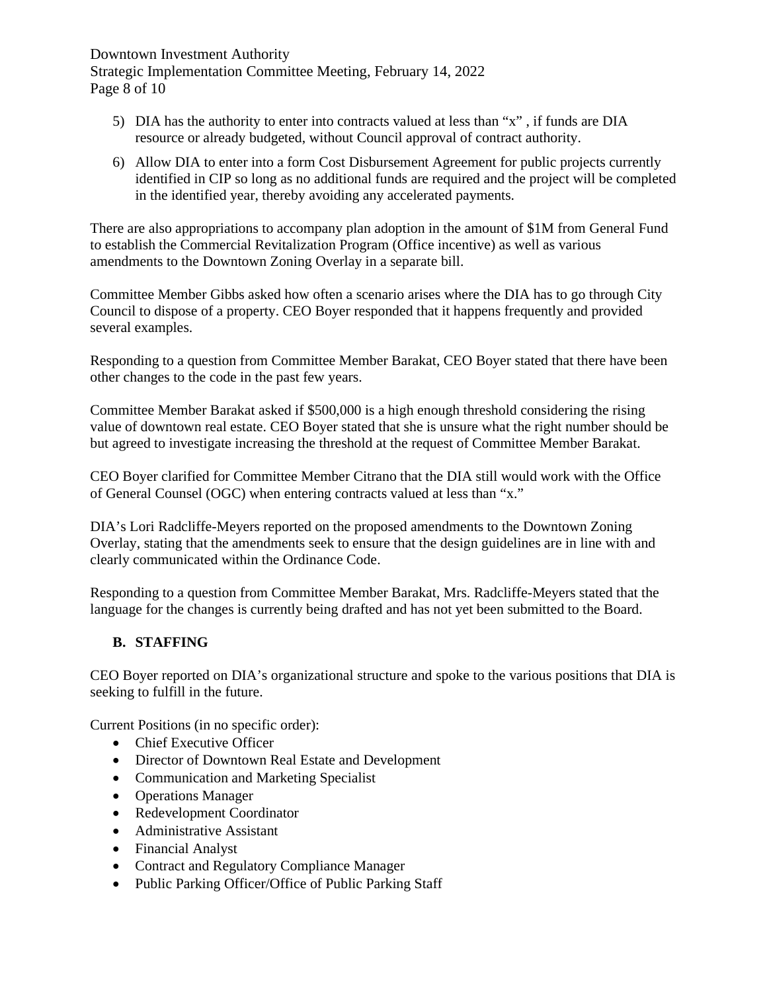Downtown Investment Authority Strategic Implementation Committee Meeting, February 14, 2022 Page 8 of 10

- 5) DIA has the authority to enter into contracts valued at less than "x" , if funds are DIA resource or already budgeted, without Council approval of contract authority.
- 6) Allow DIA to enter into a form Cost Disbursement Agreement for public projects currently identified in CIP so long as no additional funds are required and the project will be completed in the identified year, thereby avoiding any accelerated payments.

There are also appropriations to accompany plan adoption in the amount of \$1M from General Fund to establish the Commercial Revitalization Program (Office incentive) as well as various amendments to the Downtown Zoning Overlay in a separate bill.

Committee Member Gibbs asked how often a scenario arises where the DIA has to go through City Council to dispose of a property. CEO Boyer responded that it happens frequently and provided several examples.

Responding to a question from Committee Member Barakat, CEO Boyer stated that there have been other changes to the code in the past few years.

Committee Member Barakat asked if \$500,000 is a high enough threshold considering the rising value of downtown real estate. CEO Boyer stated that she is unsure what the right number should be but agreed to investigate increasing the threshold at the request of Committee Member Barakat.

CEO Boyer clarified for Committee Member Citrano that the DIA still would work with the Office of General Counsel (OGC) when entering contracts valued at less than "x."

DIA's Lori Radcliffe-Meyers reported on the proposed amendments to the Downtown Zoning Overlay, stating that the amendments seek to ensure that the design guidelines are in line with and clearly communicated within the Ordinance Code.

Responding to a question from Committee Member Barakat, Mrs. Radcliffe-Meyers stated that the language for the changes is currently being drafted and has not yet been submitted to the Board.

# **B. STAFFING**

CEO Boyer reported on DIA's organizational structure and spoke to the various positions that DIA is seeking to fulfill in the future.

Current Positions (in no specific order):

- Chief Executive Officer
- Director of Downtown Real Estate and Development
- Communication and Marketing Specialist
- Operations Manager
- Redevelopment Coordinator
- Administrative Assistant
- Financial Analyst
- Contract and Regulatory Compliance Manager
- Public Parking Officer/Office of Public Parking Staff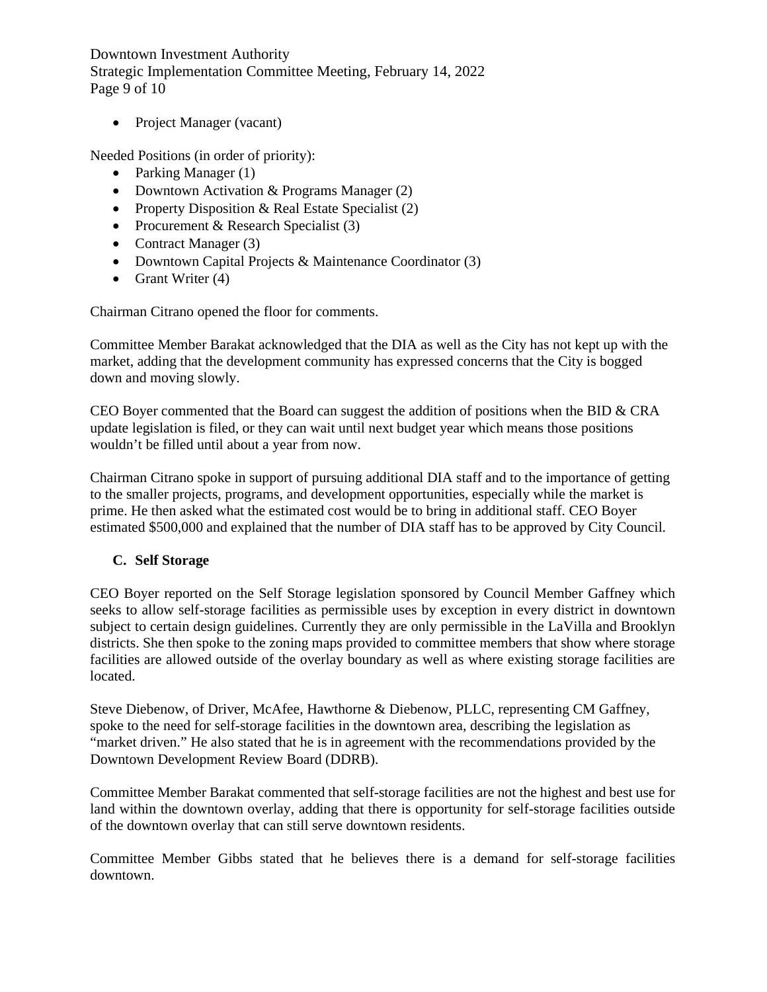Downtown Investment Authority Strategic Implementation Committee Meeting, February 14, 2022 Page 9 of 10

• Project Manager (vacant)

Needed Positions (in order of priority):

- Parking Manager (1)
- Downtown Activation & Programs Manager (2)
- Property Disposition & Real Estate Specialist (2)
- Procurement & Research Specialist (3)
- Contract Manager (3)
- Downtown Capital Projects & Maintenance Coordinator (3)
- Grant Writer (4)

Chairman Citrano opened the floor for comments.

Committee Member Barakat acknowledged that the DIA as well as the City has not kept up with the market, adding that the development community has expressed concerns that the City is bogged down and moving slowly.

CEO Boyer commented that the Board can suggest the addition of positions when the BID & CRA update legislation is filed, or they can wait until next budget year which means those positions wouldn't be filled until about a year from now.

Chairman Citrano spoke in support of pursuing additional DIA staff and to the importance of getting to the smaller projects, programs, and development opportunities, especially while the market is prime. He then asked what the estimated cost would be to bring in additional staff. CEO Boyer estimated \$500,000 and explained that the number of DIA staff has to be approved by City Council.

## **C. Self Storage**

CEO Boyer reported on the Self Storage legislation sponsored by Council Member Gaffney which seeks to allow self-storage facilities as permissible uses by exception in every district in downtown subject to certain design guidelines. Currently they are only permissible in the LaVilla and Brooklyn districts. She then spoke to the zoning maps provided to committee members that show where storage facilities are allowed outside of the overlay boundary as well as where existing storage facilities are located.

Steve Diebenow, of Driver, McAfee, Hawthorne & Diebenow, PLLC, representing CM Gaffney, spoke to the need for self-storage facilities in the downtown area, describing the legislation as "market driven." He also stated that he is in agreement with the recommendations provided by the Downtown Development Review Board (DDRB).

Committee Member Barakat commented that self-storage facilities are not the highest and best use for land within the downtown overlay, adding that there is opportunity for self-storage facilities outside of the downtown overlay that can still serve downtown residents.

Committee Member Gibbs stated that he believes there is a demand for self-storage facilities downtown.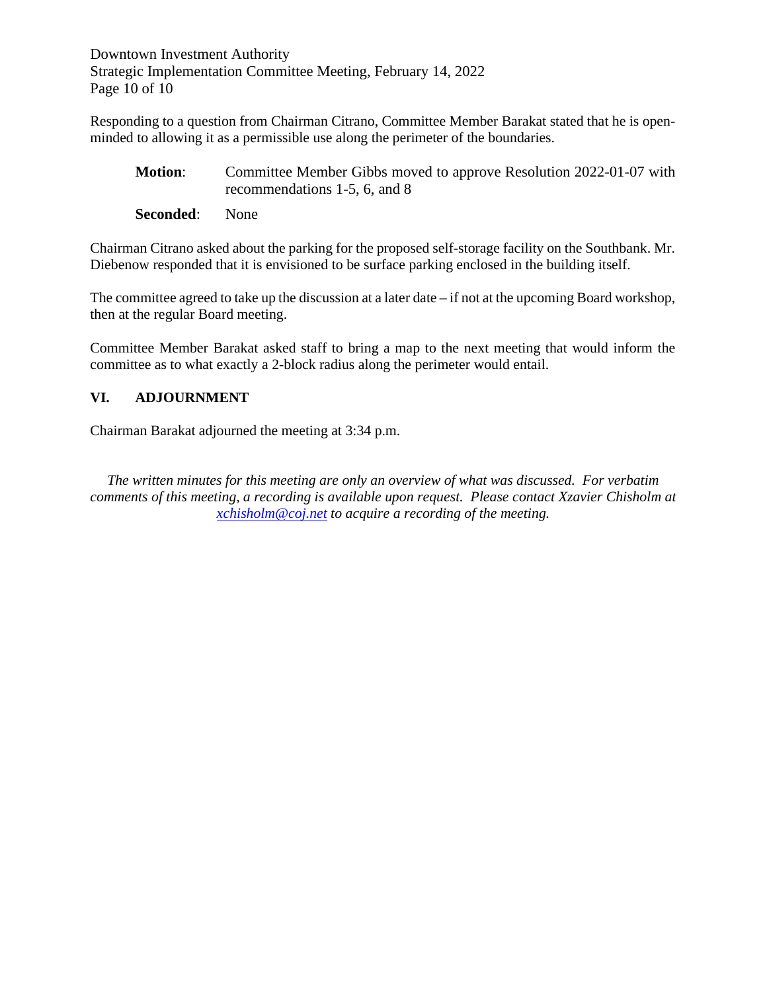Downtown Investment Authority Strategic Implementation Committee Meeting, February 14, 2022 Page 10 of 10

Responding to a question from Chairman Citrano, Committee Member Barakat stated that he is openminded to allowing it as a permissible use along the perimeter of the boundaries.

- **Motion:** Committee Member Gibbs moved to approve Resolution 2022-01-07 with recommendations 1-5, 6, and 8
- **Seconded**: None

Chairman Citrano asked about the parking for the proposed self-storage facility on the Southbank. Mr. Diebenow responded that it is envisioned to be surface parking enclosed in the building itself.

The committee agreed to take up the discussion at a later date  $-i$  f not at the upcoming Board workshop, then at the regular Board meeting.

Committee Member Barakat asked staff to bring a map to the next meeting that would inform the committee as to what exactly a 2-block radius along the perimeter would entail.

# **VI. ADJOURNMENT**

Chairman Barakat adjourned the meeting at 3:34 p.m.

*The written minutes for this meeting are only an overview of what was discussed. For verbatim comments of this meeting, a recording is available upon request. Please contact Xzavier Chisholm at [xchisholm@coj.net](mailto:xchisholm@coj.net) to acquire a recording of the meeting.*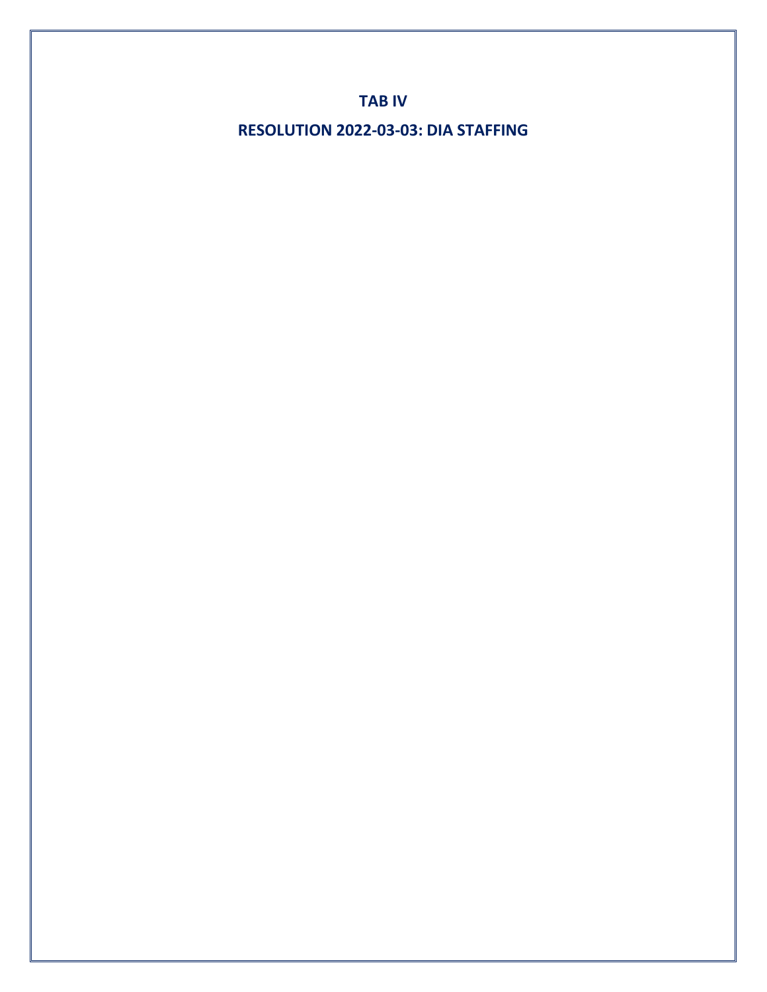**TAB IV**

**RESOLUTION 2022-03-03: DIA STAFFING**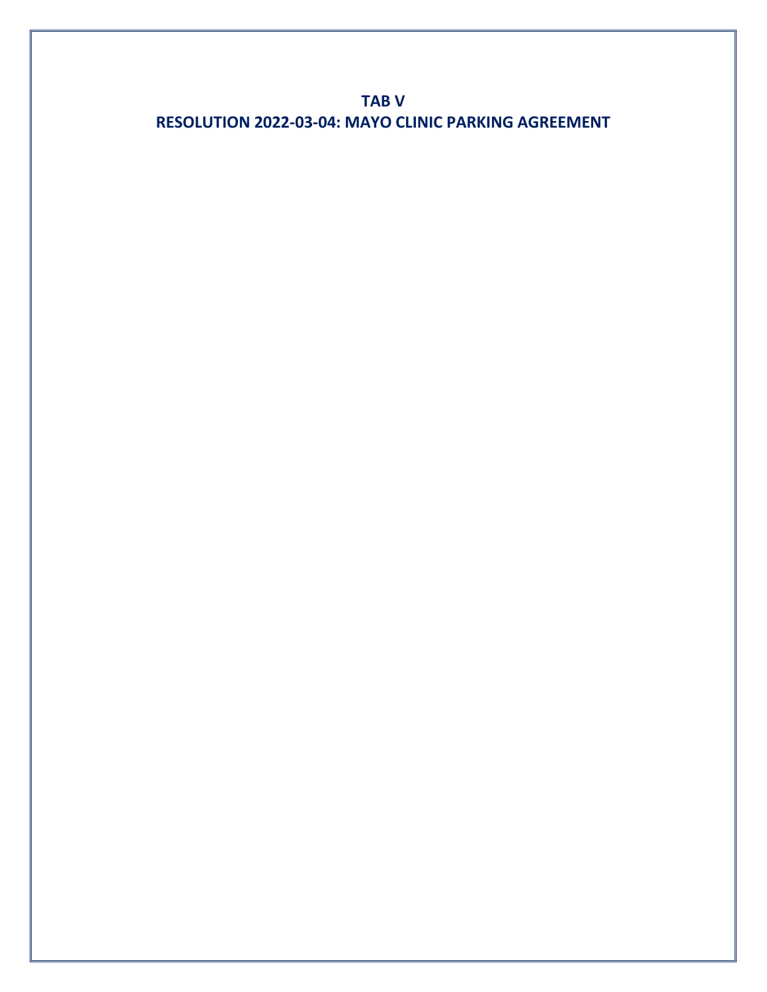**TAB V RESOLUTION 2022-03-04: MAYO CLINIC PARKING AGREEMENT**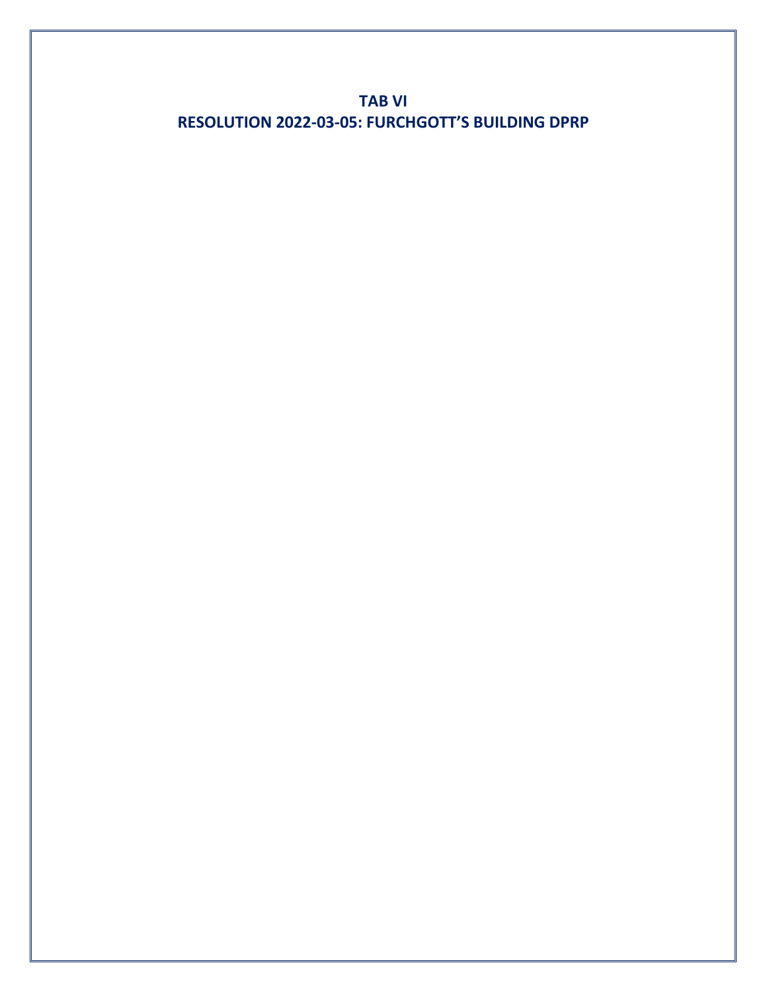**TAB VI RESOLUTION 2022-03-05: FURCHGOTT'S BUILDING DPRP**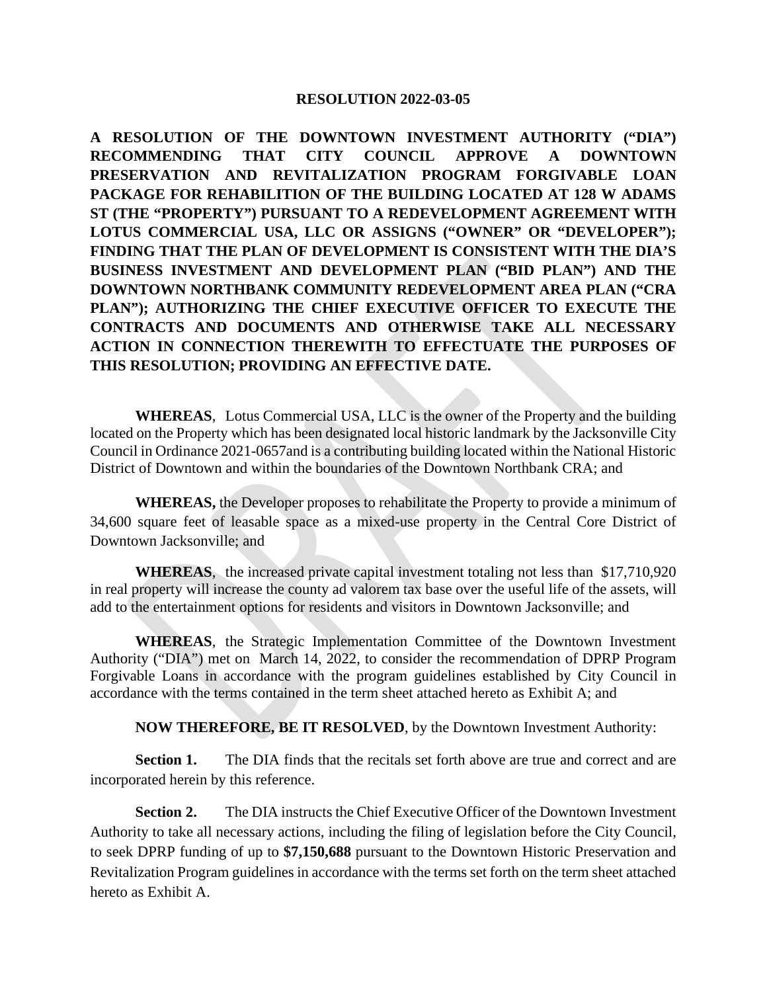#### **RESOLUTION 2022-03-05**

**A RESOLUTION OF THE DOWNTOWN INVESTMENT AUTHORITY ("DIA") RECOMMENDING THAT CITY COUNCIL APPROVE A DOWNTOWN PRESERVATION AND REVITALIZATION PROGRAM FORGIVABLE LOAN PACKAGE FOR REHABILITION OF THE BUILDING LOCATED AT 128 W ADAMS ST (THE "PROPERTY") PURSUANT TO A REDEVELOPMENT AGREEMENT WITH LOTUS COMMERCIAL USA, LLC OR ASSIGNS ("OWNER" OR "DEVELOPER"); FINDING THAT THE PLAN OF DEVELOPMENT IS CONSISTENT WITH THE DIA'S BUSINESS INVESTMENT AND DEVELOPMENT PLAN ("BID PLAN") AND THE DOWNTOWN NORTHBANK COMMUNITY REDEVELOPMENT AREA PLAN ("CRA PLAN"); AUTHORIZING THE CHIEF EXECUTIVE OFFICER TO EXECUTE THE CONTRACTS AND DOCUMENTS AND OTHERWISE TAKE ALL NECESSARY ACTION IN CONNECTION THEREWITH TO EFFECTUATE THE PURPOSES OF THIS RESOLUTION; PROVIDING AN EFFECTIVE DATE.** 

**WHEREAS**, Lotus Commercial USA, LLC is the owner of the Property and the building located on the Property which has been designated local historic landmark by the Jacksonville City Council in Ordinance 2021-0657and is a contributing building located within the National Historic District of Downtown and within the boundaries of the Downtown Northbank CRA; and

**WHEREAS,** the Developer proposes to rehabilitate the Property to provide a minimum of 34,600 square feet of leasable space as a mixed-use property in the Central Core District of Downtown Jacksonville; and

**WHEREAS**, the increased private capital investment totaling not less than \$17,710,920 in real property will increase the county ad valorem tax base over the useful life of the assets, will add to the entertainment options for residents and visitors in Downtown Jacksonville; and

**WHEREAS**, the Strategic Implementation Committee of the Downtown Investment Authority ("DIA") met on March 14, 2022, to consider the recommendation of DPRP Program Forgivable Loans in accordance with the program guidelines established by City Council in accordance with the terms contained in the term sheet attached hereto as Exhibit A; and

**NOW THEREFORE, BE IT RESOLVED**, by the Downtown Investment Authority:

**Section 1.** The DIA finds that the recitals set forth above are true and correct and are incorporated herein by this reference.

**Section 2.** The DIA instructs the Chief Executive Officer of the Downtown Investment Authority to take all necessary actions, including the filing of legislation before the City Council, to seek DPRP funding of up to **\$7,150,688** pursuant to the Downtown Historic Preservation and Revitalization Program guidelines in accordance with the terms set forth on the term sheet attached hereto as Exhibit A.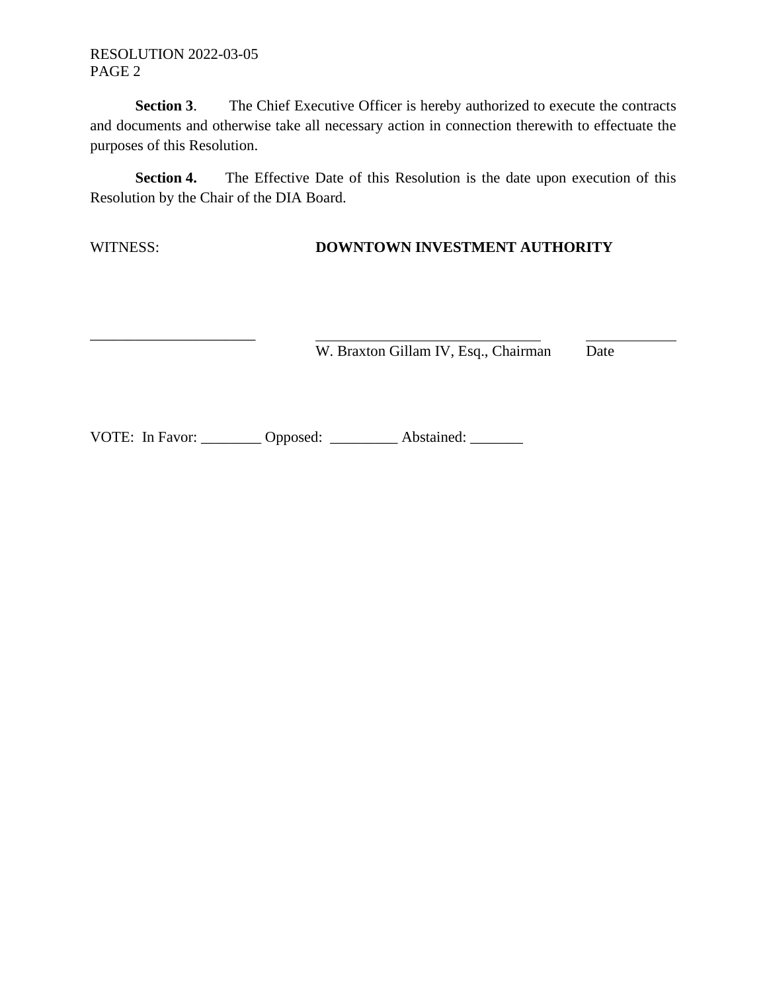### RESOLUTION 2022-03-05 PAGE 2

\_\_\_\_\_\_\_\_\_\_\_\_\_\_\_\_\_\_\_\_\_\_

**Section 3.** The Chief Executive Officer is hereby authorized to execute the contracts and documents and otherwise take all necessary action in connection therewith to effectuate the purposes of this Resolution.

**Section 4.** The Effective Date of this Resolution is the date upon execution of this Resolution by the Chair of the DIA Board.

WITNESS: **DOWNTOWN INVESTMENT AUTHORITY**

W. Braxton Gillam IV, Esq., Chairman Date

VOTE: In Favor: \_\_\_\_\_\_\_\_ Opposed: \_\_\_\_\_\_\_\_ Abstained: \_\_\_\_\_\_\_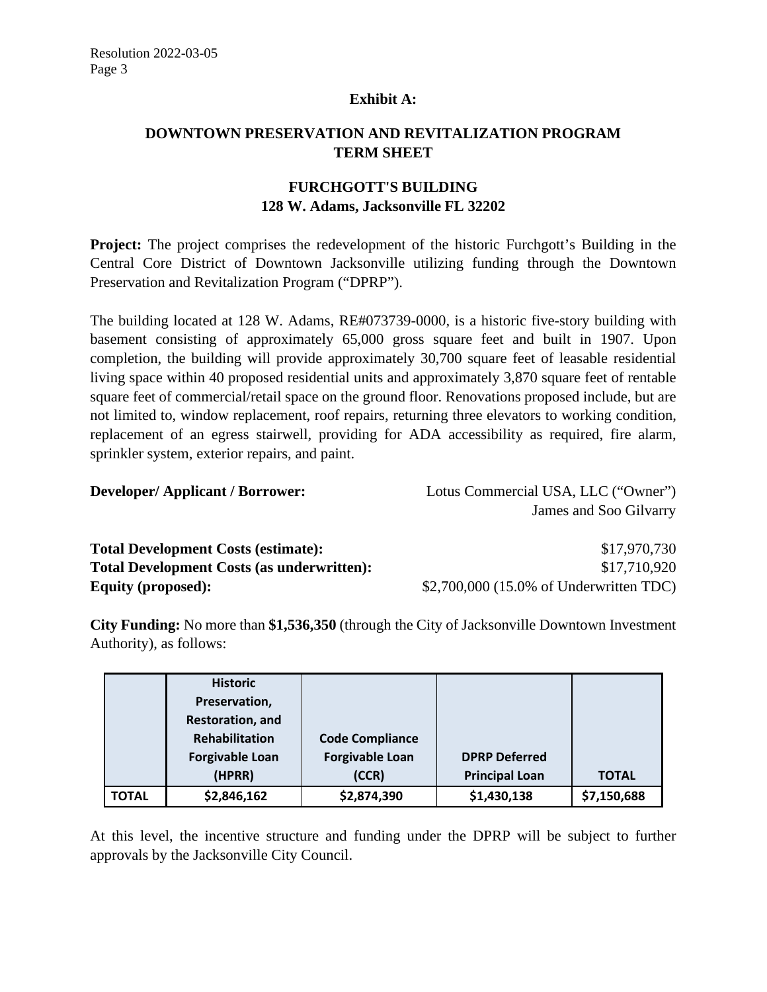## **Exhibit A:**

# **DOWNTOWN PRESERVATION AND REVITALIZATION PROGRAM TERM SHEET**

# **FURCHGOTT'S BUILDING 128 W. Adams, Jacksonville FL 32202**

**Project:** The project comprises the redevelopment of the historic Furchgott's Building in the Central Core District of Downtown Jacksonville utilizing funding through the Downtown Preservation and Revitalization Program ("DPRP").

The building located at 128 W. Adams, RE#073739-0000, is a historic five-story building with basement consisting of approximately 65,000 gross square feet and built in 1907. Upon completion, the building will provide approximately 30,700 square feet of leasable residential living space within 40 proposed residential units and approximately 3,870 square feet of rentable square feet of commercial/retail space on the ground floor. Renovations proposed include, but are not limited to, window replacement, roof repairs, returning three elevators to working condition, replacement of an egress stairwell, providing for ADA accessibility as required, fire alarm, sprinkler system, exterior repairs, and paint.

**Developer/ Applicant / Borrower:** Lotus Commercial USA, LLC ("Owner") James and Soo Gilvarry

| <b>Total Development Costs (estimate):</b>        | \$17,970,730                             |
|---------------------------------------------------|------------------------------------------|
| <b>Total Development Costs (as underwritten):</b> | \$17,710,920                             |
| <b>Equity (proposed):</b>                         | $$2,700,000$ (15.0% of Underwritten TDC) |

**City Funding:** No more than **\$1,536,350** (through the City of Jacksonville Downtown Investment Authority), as follows:

|              | <b>Historic</b>        |                        |                       |              |
|--------------|------------------------|------------------------|-----------------------|--------------|
|              | Preservation,          |                        |                       |              |
|              | Restoration, and       |                        |                       |              |
|              | <b>Rehabilitation</b>  | <b>Code Compliance</b> |                       |              |
|              | <b>Forgivable Loan</b> | <b>Forgivable Loan</b> | <b>DPRP Deferred</b>  |              |
|              | (HPRR)                 | (CCR)                  | <b>Principal Loan</b> | <b>TOTAL</b> |
| <b>TOTAL</b> | \$2,846,162            | \$2,874,390            | \$1,430,138           | \$7,150,688  |

At this level, the incentive structure and funding under the DPRP will be subject to further approvals by the Jacksonville City Council.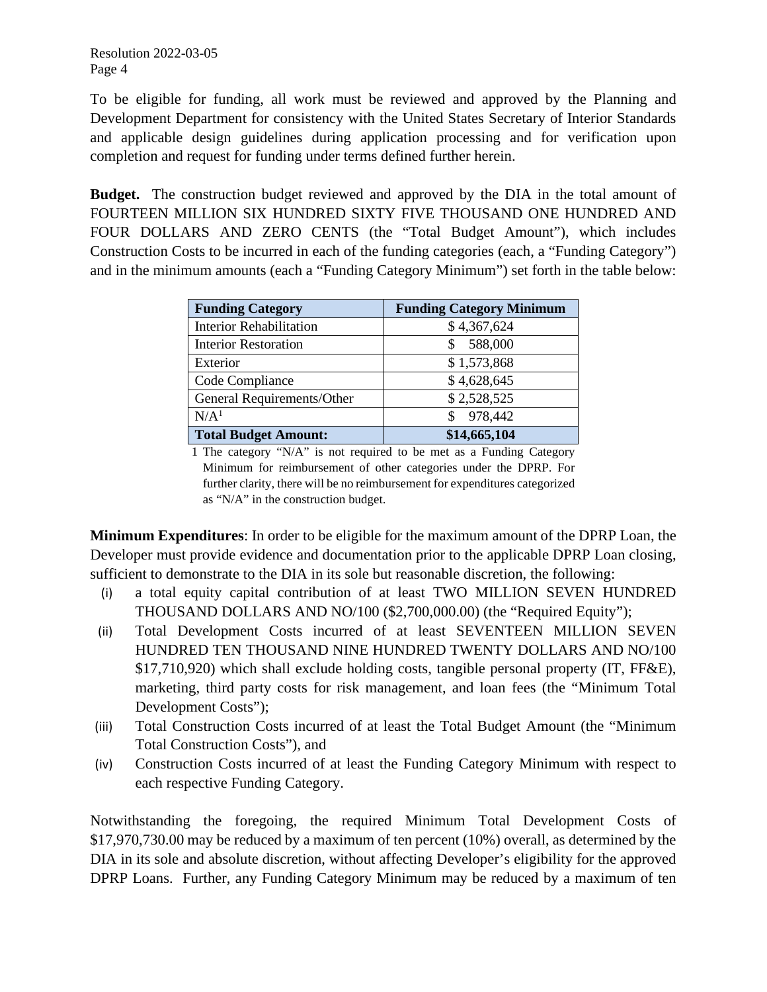To be eligible for funding, all work must be reviewed and approved by the Planning and Development Department for consistency with the United States Secretary of Interior Standards and applicable design guidelines during application processing and for verification upon completion and request for funding under terms defined further herein.

**Budget.** The construction budget reviewed and approved by the DIA in the total amount of FOURTEEN MILLION SIX HUNDRED SIXTY FIVE THOUSAND ONE HUNDRED AND FOUR DOLLARS AND ZERO CENTS (the "Total Budget Amount"), which includes Construction Costs to be incurred in each of the funding categories (each, a "Funding Category") and in the minimum amounts (each a "Funding Category Minimum") set forth in the table below:

| <b>Funding Category</b>        | <b>Funding Category Minimum</b> |  |  |  |  |
|--------------------------------|---------------------------------|--|--|--|--|
| <b>Interior Rehabilitation</b> | \$4,367,624                     |  |  |  |  |
| <b>Interior Restoration</b>    | 588,000                         |  |  |  |  |
| Exterior                       | \$1,573,868                     |  |  |  |  |
| Code Compliance                | \$4,628,645                     |  |  |  |  |
| General Requirements/Other     | \$2,528,525                     |  |  |  |  |
| N/A <sup>1</sup>               | 978,442                         |  |  |  |  |
| <b>Total Budget Amount:</b>    | \$14,665,104                    |  |  |  |  |

1 The category "N/A" is not required to be met as a Funding Category Minimum for reimbursement of other categories under the DPRP. For further clarity, there will be no reimbursement for expenditures categorized as "N/A" in the construction budget.

**Minimum Expenditures**: In order to be eligible for the maximum amount of the DPRP Loan, the Developer must provide evidence and documentation prior to the applicable DPRP Loan closing, sufficient to demonstrate to the DIA in its sole but reasonable discretion, the following:

- (i) a total equity capital contribution of at least TWO MILLION SEVEN HUNDRED THOUSAND DOLLARS AND NO/100 (\$2,700,000.00) (the "Required Equity");
- (ii) Total Development Costs incurred of at least SEVENTEEN MILLION SEVEN HUNDRED TEN THOUSAND NINE HUNDRED TWENTY DOLLARS AND NO/100 \$17,710,920) which shall exclude holding costs, tangible personal property (IT, FF&E), marketing, third party costs for risk management, and loan fees (the "Minimum Total Development Costs");
- (iii) Total Construction Costs incurred of at least the Total Budget Amount (the "Minimum Total Construction Costs"), and
- (iv) Construction Costs incurred of at least the Funding Category Minimum with respect to each respective Funding Category.

Notwithstanding the foregoing, the required Minimum Total Development Costs of \$17,970,730.00 may be reduced by a maximum of ten percent (10%) overall, as determined by the DIA in its sole and absolute discretion, without affecting Developer's eligibility for the approved DPRP Loans. Further, any Funding Category Minimum may be reduced by a maximum of ten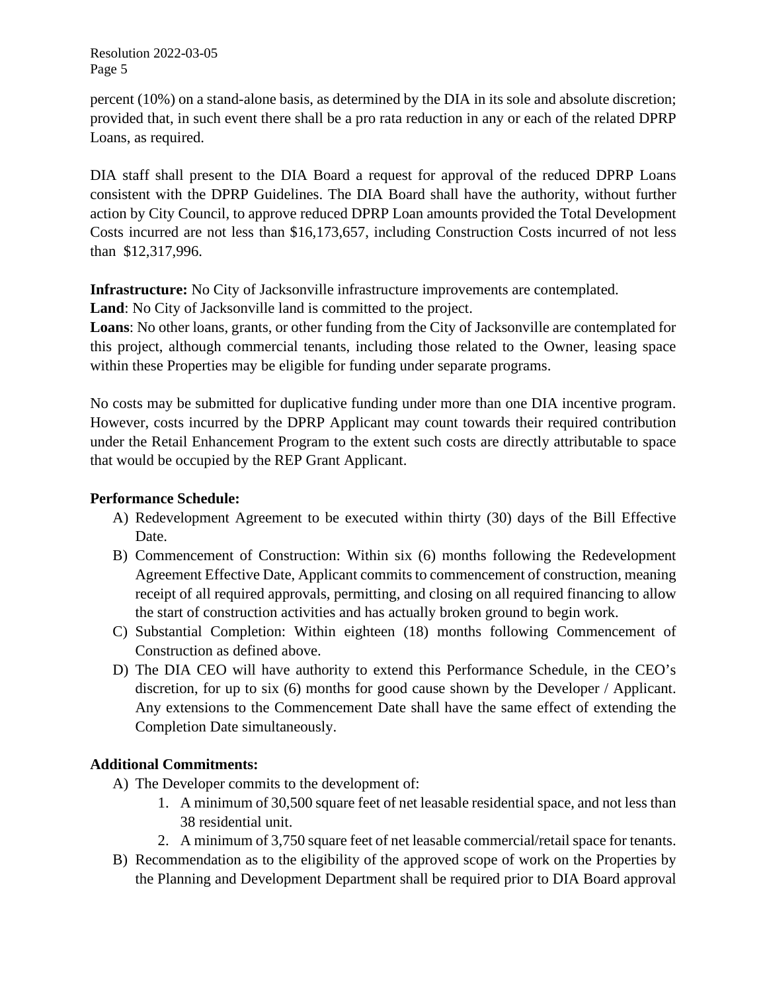Resolution 2022-03-05 Page 5

percent (10%) on a stand-alone basis, as determined by the DIA in its sole and absolute discretion; provided that, in such event there shall be a pro rata reduction in any or each of the related DPRP Loans, as required.

DIA staff shall present to the DIA Board a request for approval of the reduced DPRP Loans consistent with the DPRP Guidelines. The DIA Board shall have the authority, without further action by City Council, to approve reduced DPRP Loan amounts provided the Total Development Costs incurred are not less than \$16,173,657, including Construction Costs incurred of not less than \$12,317,996.

**Infrastructure:** No City of Jacksonville infrastructure improvements are contemplated.

**Land**: No City of Jacksonville land is committed to the project.

**Loans**: No other loans, grants, or other funding from the City of Jacksonville are contemplated for this project, although commercial tenants, including those related to the Owner, leasing space within these Properties may be eligible for funding under separate programs.

No costs may be submitted for duplicative funding under more than one DIA incentive program. However, costs incurred by the DPRP Applicant may count towards their required contribution under the Retail Enhancement Program to the extent such costs are directly attributable to space that would be occupied by the REP Grant Applicant.

# **Performance Schedule:**

- A) Redevelopment Agreement to be executed within thirty (30) days of the Bill Effective Date.
- B) Commencement of Construction: Within six (6) months following the Redevelopment Agreement Effective Date, Applicant commits to commencement of construction, meaning receipt of all required approvals, permitting, and closing on all required financing to allow the start of construction activities and has actually broken ground to begin work.
- C) Substantial Completion: Within eighteen (18) months following Commencement of Construction as defined above.
- D) The DIA CEO will have authority to extend this Performance Schedule, in the CEO's discretion, for up to six (6) months for good cause shown by the Developer / Applicant. Any extensions to the Commencement Date shall have the same effect of extending the Completion Date simultaneously.

# **Additional Commitments:**

- A) The Developer commits to the development of:
	- 1. A minimum of 30,500 square feet of net leasable residential space, and not less than 38 residential unit.
	- 2. A minimum of 3,750 square feet of net leasable commercial/retail space for tenants.
- B) Recommendation as to the eligibility of the approved scope of work on the Properties by the Planning and Development Department shall be required prior to DIA Board approval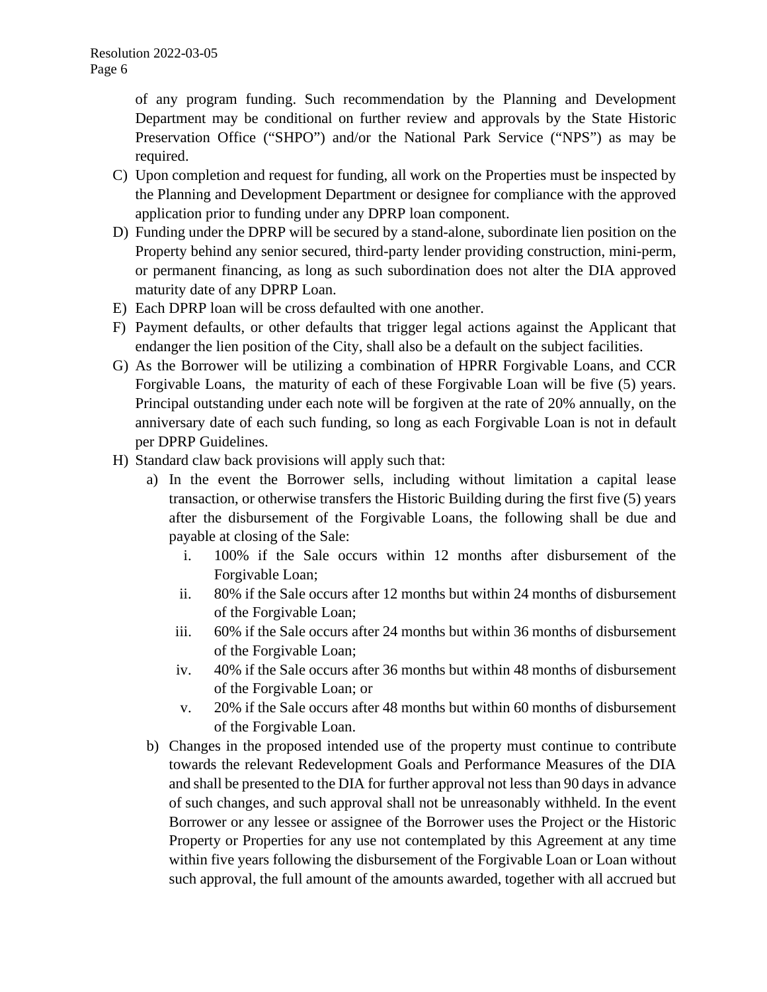of any program funding. Such recommendation by the Planning and Development Department may be conditional on further review and approvals by the State Historic Preservation Office ("SHPO") and/or the National Park Service ("NPS") as may be required.

- C) Upon completion and request for funding, all work on the Properties must be inspected by the Planning and Development Department or designee for compliance with the approved application prior to funding under any DPRP loan component.
- D) Funding under the DPRP will be secured by a stand-alone, subordinate lien position on the Property behind any senior secured, third-party lender providing construction, mini-perm, or permanent financing, as long as such subordination does not alter the DIA approved maturity date of any DPRP Loan.
- E) Each DPRP loan will be cross defaulted with one another.
- F) Payment defaults, or other defaults that trigger legal actions against the Applicant that endanger the lien position of the City, shall also be a default on the subject facilities.
- G) As the Borrower will be utilizing a combination of HPRR Forgivable Loans, and CCR Forgivable Loans, the maturity of each of these Forgivable Loan will be five (5) years. Principal outstanding under each note will be forgiven at the rate of 20% annually, on the anniversary date of each such funding, so long as each Forgivable Loan is not in default per DPRP Guidelines.
- H) Standard claw back provisions will apply such that:
	- a) In the event the Borrower sells, including without limitation a capital lease transaction, or otherwise transfers the Historic Building during the first five (5) years after the disbursement of the Forgivable Loans, the following shall be due and payable at closing of the Sale:
		- i. 100% if the Sale occurs within 12 months after disbursement of the Forgivable Loan;
		- ii. 80% if the Sale occurs after 12 months but within 24 months of disbursement of the Forgivable Loan;
		- iii. 60% if the Sale occurs after 24 months but within 36 months of disbursement of the Forgivable Loan;
		- iv. 40% if the Sale occurs after 36 months but within 48 months of disbursement of the Forgivable Loan; or
		- v. 20% if the Sale occurs after 48 months but within 60 months of disbursement of the Forgivable Loan.
	- b) Changes in the proposed intended use of the property must continue to contribute towards the relevant Redevelopment Goals and Performance Measures of the DIA and shall be presented to the DIA for further approval not less than 90 days in advance of such changes, and such approval shall not be unreasonably withheld. In the event Borrower or any lessee or assignee of the Borrower uses the Project or the Historic Property or Properties for any use not contemplated by this Agreement at any time within five years following the disbursement of the Forgivable Loan or Loan without such approval, the full amount of the amounts awarded, together with all accrued but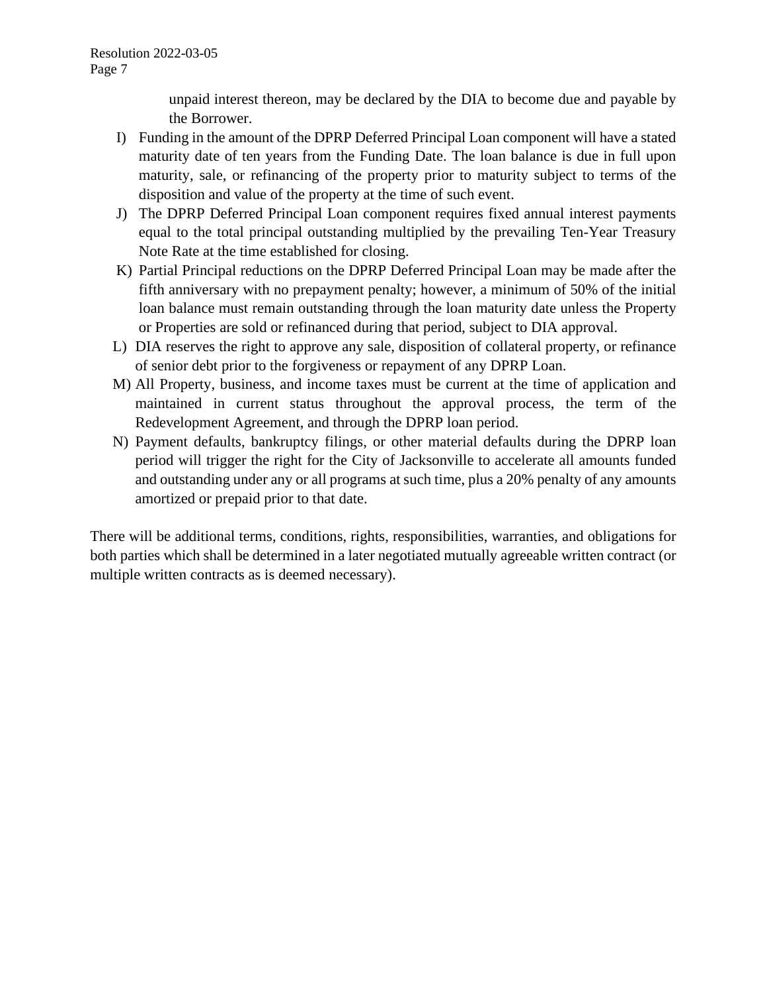unpaid interest thereon, may be declared by the DIA to become due and payable by the Borrower.

- I) Funding in the amount of the DPRP Deferred Principal Loan component will have a stated maturity date of ten years from the Funding Date. The loan balance is due in full upon maturity, sale, or refinancing of the property prior to maturity subject to terms of the disposition and value of the property at the time of such event.
- J) The DPRP Deferred Principal Loan component requires fixed annual interest payments equal to the total principal outstanding multiplied by the prevailing Ten-Year Treasury Note Rate at the time established for closing.
- K) Partial Principal reductions on the DPRP Deferred Principal Loan may be made after the fifth anniversary with no prepayment penalty; however, a minimum of 50% of the initial loan balance must remain outstanding through the loan maturity date unless the Property or Properties are sold or refinanced during that period, subject to DIA approval.
- L) DIA reserves the right to approve any sale, disposition of collateral property, or refinance of senior debt prior to the forgiveness or repayment of any DPRP Loan.
- M) All Property, business, and income taxes must be current at the time of application and maintained in current status throughout the approval process, the term of the Redevelopment Agreement, and through the DPRP loan period.
- N) Payment defaults, bankruptcy filings, or other material defaults during the DPRP loan period will trigger the right for the City of Jacksonville to accelerate all amounts funded and outstanding under any or all programs at such time, plus a 20% penalty of any amounts amortized or prepaid prior to that date.

There will be additional terms, conditions, rights, responsibilities, warranties, and obligations for both parties which shall be determined in a later negotiated mutually agreeable written contract (or multiple written contracts as is deemed necessary).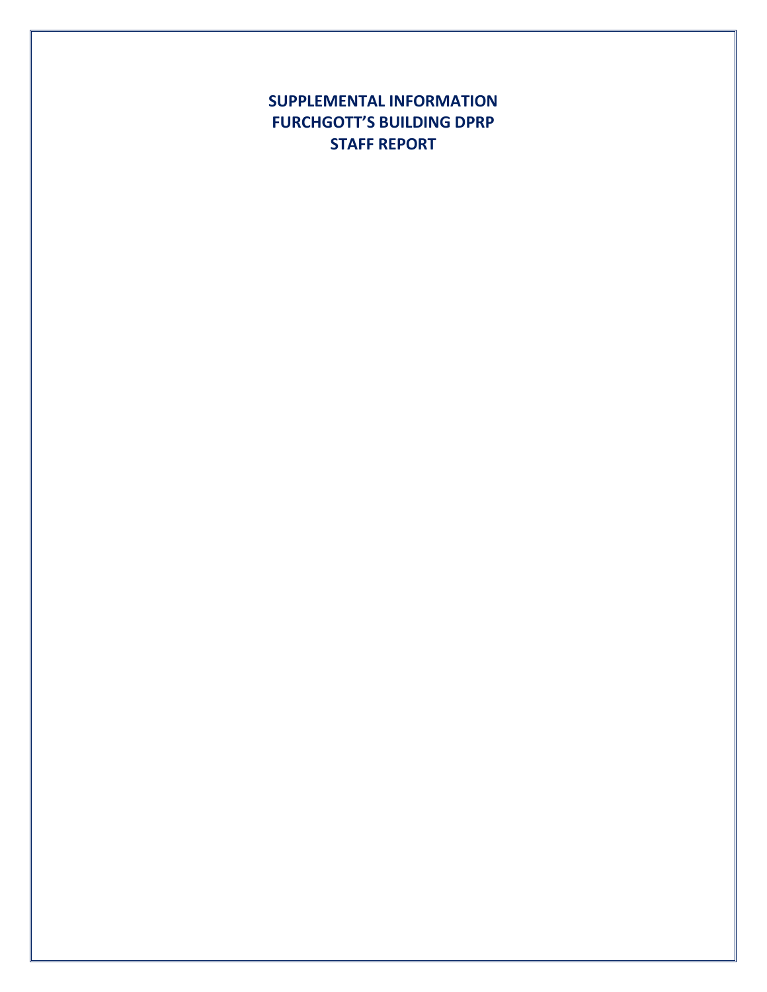**SUPPLEMENTAL INFORMATION FURCHGOTT'S BUILDING DPRP STAFF REPORT**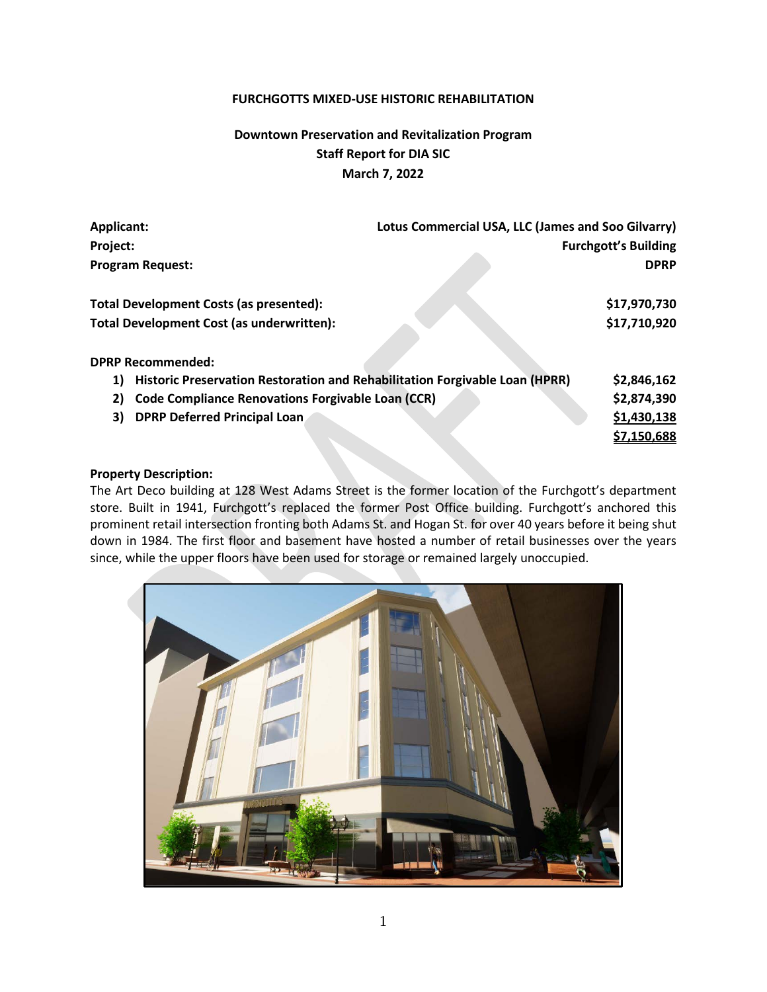#### **FURCHGOTTS MIXED-USE HISTORIC REHABILITATION**

# **Downtown Preservation and Revitalization Program Staff Report for DIA SIC March 7, 2022**

| Lotus Commercial USA, LLC (James and Soo Gilvarry)<br><b>Applicant:</b>           |  |                             |  |
|-----------------------------------------------------------------------------------|--|-----------------------------|--|
| Project:                                                                          |  | <b>Furchgott's Building</b> |  |
| <b>Program Request:</b>                                                           |  | <b>DPRP</b>                 |  |
| Total Development Costs (as presented):                                           |  | \$17,970,730                |  |
| Total Development Cost (as underwritten):                                         |  | \$17,710,920                |  |
| <b>DPRP Recommended:</b>                                                          |  |                             |  |
| Historic Preservation Restoration and Rehabilitation Forgivable Loan (HPRR)<br>1) |  | \$2,846,162                 |  |
| <b>Code Compliance Renovations Forgivable Loan (CCR)</b><br>2)                    |  | \$2,874,390                 |  |
| DPRP Deferred Principal Loan<br>3)                                                |  | \$1,430,138                 |  |
|                                                                                   |  | \$7,150,688                 |  |

#### **Property Description:**

The Art Deco building at 128 West Adams Street is the former location of the Furchgott's department store. Built in 1941, Furchgott's replaced the former Post Office building. Furchgott's anchored this prominent retail intersection fronting both Adams St. and Hogan St. for over 40 years before it being shut down in 1984. The first floor and basement have hosted a number of retail businesses over the years since, while the upper floors have been used for storage or remained largely unoccupied.

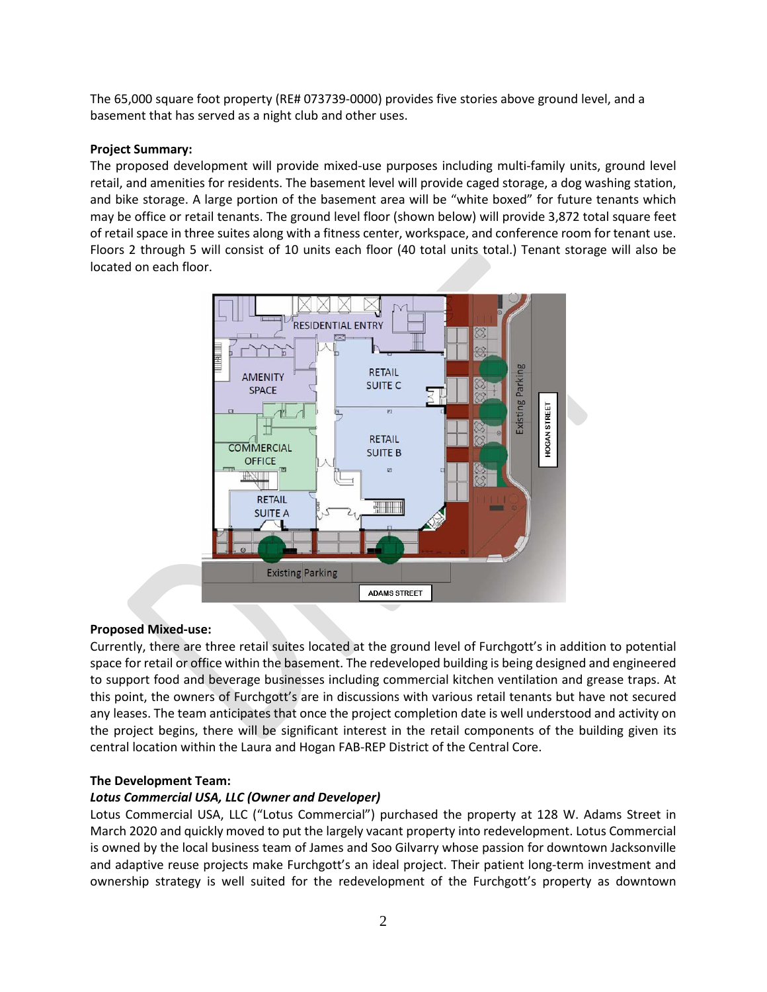The 65,000 square foot property (RE# 073739-0000) provides five stories above ground level, and a basement that has served as a night club and other uses.

#### **Project Summary:**

The proposed development will provide mixed-use purposes including multi-family units, ground level retail, and amenities for residents. The basement level will provide caged storage, a dog washing station, and bike storage. A large portion of the basement area will be "white boxed" for future tenants which may be office or retail tenants. The ground level floor (shown below) will provide 3,872 total square feet of retail space in three suites along with a fitness center, workspace, and conference room for tenant use. Floors 2 through 5 will consist of 10 units each floor (40 total units total.) Tenant storage will also be located on each floor.



## **Proposed Mixed-use:**

Currently, there are three retail suites located at the ground level of Furchgott's in addition to potential space for retail or office within the basement. The redeveloped building is being designed and engineered to support food and beverage businesses including commercial kitchen ventilation and grease traps. At this point, the owners of Furchgott's are in discussions with various retail tenants but have not secured any leases. The team anticipates that once the project completion date is well understood and activity on the project begins, there will be significant interest in the retail components of the building given its central location within the Laura and Hogan FAB-REP District of the Central Core.

## **The Development Team:**

#### *Lotus Commercial USA, LLC (Owner and Developer)*

Lotus Commercial USA, LLC ("Lotus Commercial") purchased the property at 128 W. Adams Street in March 2020 and quickly moved to put the largely vacant property into redevelopment. Lotus Commercial is owned by the local business team of James and Soo Gilvarry whose passion for downtown Jacksonville and adaptive reuse projects make Furchgott's an ideal project. Their patient long-term investment and ownership strategy is well suited for the redevelopment of the Furchgott's property as downtown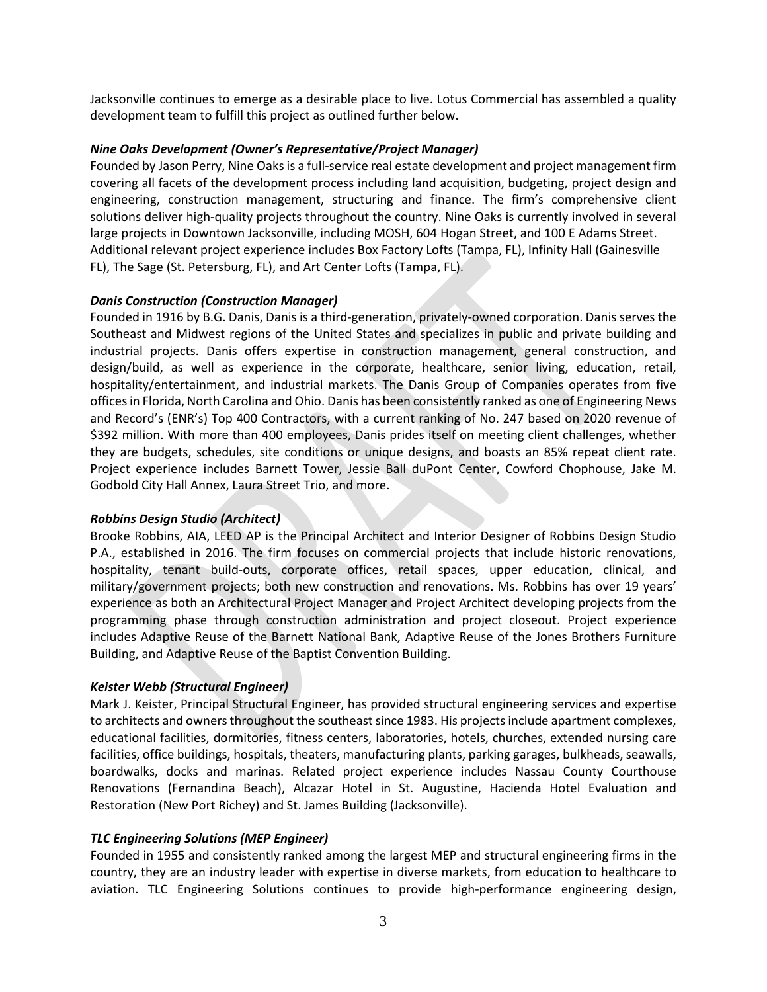Jacksonville continues to emerge as a desirable place to live. Lotus Commercial has assembled a quality development team to fulfill this project as outlined further below.

#### *Nine Oaks Development (Owner's Representative/Project Manager)*

Founded by Jason Perry, Nine Oaks is a full-service real estate development and project management firm covering all facets of the development process including land acquisition, budgeting, project design and engineering, construction management, structuring and finance. The firm's comprehensive client solutions deliver high-quality projects throughout the country. Nine Oaks is currently involved in several large projects in Downtown Jacksonville, including MOSH, 604 Hogan Street, and 100 E Adams Street. Additional relevant project experience includes Box Factory Lofts (Tampa, FL), Infinity Hall (Gainesville FL), The Sage (St. Petersburg, FL), and Art Center Lofts (Tampa, FL).

#### *Danis Construction (Construction Manager)*

Founded in 1916 by B.G. Danis, Danis is a third-generation, privately-owned corporation. Danis serves the Southeast and Midwest regions of the United States and specializes in public and private building and industrial projects. Danis offers expertise in construction management, general construction, and design/build, as well as experience in the corporate, healthcare, senior living, education, retail, hospitality/entertainment, and industrial markets. The Danis Group of Companies operates from five offices in Florida, North Carolina and Ohio. Danis has been consistently ranked as one of Engineering News and Record's (ENR's) Top 400 Contractors, with a current ranking of No. 247 based on 2020 revenue of \$392 million. With more than 400 employees, Danis prides itself on meeting client challenges, whether they are budgets, schedules, site conditions or unique designs, and boasts an 85% repeat client rate. Project experience includes Barnett Tower, Jessie Ball duPont Center, Cowford Chophouse, Jake M. Godbold City Hall Annex, Laura Street Trio, and more.

#### *Robbins Design Studio (Architect)*

Brooke Robbins, AIA, LEED AP is the Principal Architect and Interior Designer of Robbins Design Studio P.A., established in 2016. The firm focuses on commercial projects that include historic renovations, hospitality, tenant build-outs, corporate offices, retail spaces, upper education, clinical, and military/government projects; both new construction and renovations. Ms. Robbins has over 19 years' experience as both an Architectural Project Manager and Project Architect developing projects from the programming phase through construction administration and project closeout. Project experience includes Adaptive Reuse of the Barnett National Bank, Adaptive Reuse of the Jones Brothers Furniture Building, and Adaptive Reuse of the Baptist Convention Building.

#### *Keister Webb (Structural Engineer)*

Mark J. Keister, Principal Structural Engineer, has provided structural engineering services and expertise to architects and owners throughout the southeast since 1983. His projects include apartment complexes, educational facilities, dormitories, fitness centers, laboratories, hotels, churches, extended nursing care facilities, office buildings, hospitals, theaters, manufacturing plants, parking garages, bulkheads, seawalls, boardwalks, docks and marinas. Related project experience includes Nassau County Courthouse Renovations (Fernandina Beach), Alcazar Hotel in St. Augustine, Hacienda Hotel Evaluation and Restoration (New Port Richey) and St. James Building (Jacksonville).

#### *TLC Engineering Solutions (MEP Engineer)*

Founded in 1955 and consistently ranked among the largest MEP and structural engineering firms in the country, they are an industry leader with expertise in diverse markets, from education to healthcare to aviation. TLC Engineering Solutions continues to provide high-performance engineering design,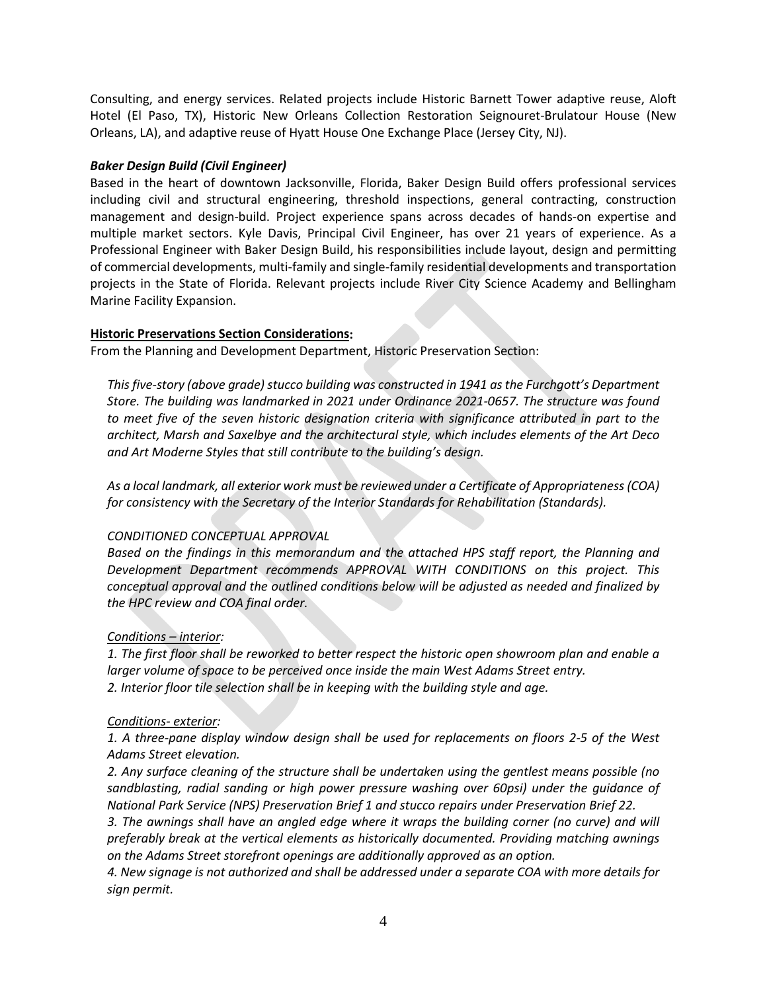Consulting, and energy services. Related projects include Historic Barnett Tower adaptive reuse, Aloft Hotel (El Paso, TX), Historic New Orleans Collection Restoration Seignouret-Brulatour House (New Orleans, LA), and adaptive reuse of Hyatt House One Exchange Place (Jersey City, NJ).

#### *Baker Design Build (Civil Engineer)*

Based in the heart of downtown Jacksonville, Florida, Baker Design Build offers professional services including civil and structural engineering, threshold inspections, general contracting, construction management and design-build. Project experience spans across decades of hands-on expertise and multiple market sectors. Kyle Davis, Principal Civil Engineer, has over 21 years of experience. As a Professional Engineer with Baker Design Build, his responsibilities include layout, design and permitting of commercial developments, multi-family and single-family residential developments and transportation projects in the State of Florida. Relevant projects include River City Science Academy and Bellingham Marine Facility Expansion.

#### **Historic Preservations Section Considerations:**

From the Planning and Development Department, Historic Preservation Section:

*This five-story (above grade) stucco building was constructed in 1941 as the Furchgott's Department Store. The building was landmarked in 2021 under Ordinance 2021-0657. The structure was found to meet five of the seven historic designation criteria with significance attributed in part to the architect, Marsh and Saxelbye and the architectural style, which includes elements of the Art Deco and Art Moderne Styles that still contribute to the building's design.*

*As a local landmark, all exterior work must be reviewed under a Certificate of Appropriateness (COA) for consistency with the Secretary of the Interior Standards for Rehabilitation (Standards).*

#### *CONDITIONED CONCEPTUAL APPROVAL*

*Based on the findings in this memorandum and the attached HPS staff report, the Planning and Development Department recommends APPROVAL WITH CONDITIONS on this project. This conceptual approval and the outlined conditions below will be adjusted as needed and finalized by the HPC review and COA final order.*

#### *Conditions – interior:*

*1. The first floor shall be reworked to better respect the historic open showroom plan and enable a larger volume of space to be perceived once inside the main West Adams Street entry. 2. Interior floor tile selection shall be in keeping with the building style and age.*

#### *Conditions- exterior:*

*1. A three-pane display window design shall be used for replacements on floors 2-5 of the West Adams Street elevation.*

*2. Any surface cleaning of the structure shall be undertaken using the gentlest means possible (no sandblasting, radial sanding or high power pressure washing over 60psi) under the guidance of National Park Service (NPS) Preservation Brief 1 and stucco repairs under Preservation Brief 22.*

*3. The awnings shall have an angled edge where it wraps the building corner (no curve) and will preferably break at the vertical elements as historically documented. Providing matching awnings on the Adams Street storefront openings are additionally approved as an option.*

*4. New signage is not authorized and shall be addressed under a separate COA with more details for sign permit.*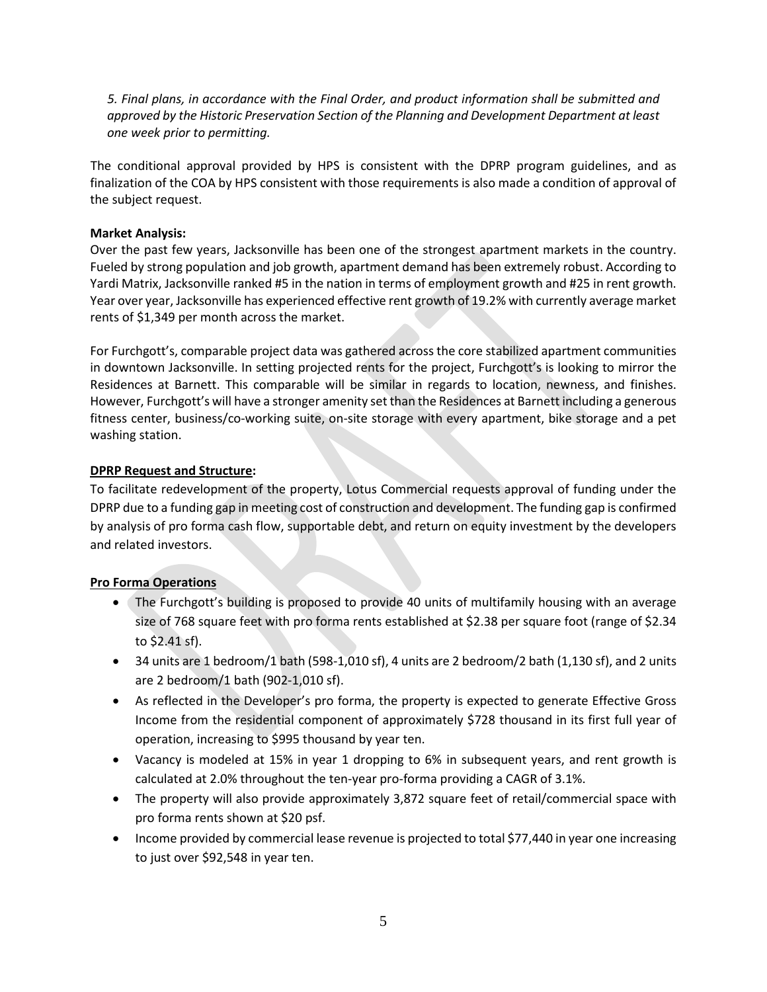*5. Final plans, in accordance with the Final Order, and product information shall be submitted and approved by the Historic Preservation Section of the Planning and Development Department at least one week prior to permitting.*

The conditional approval provided by HPS is consistent with the DPRP program guidelines, and as finalization of the COA by HPS consistent with those requirements is also made a condition of approval of the subject request.

#### **Market Analysis:**

Over the past few years, Jacksonville has been one of the strongest apartment markets in the country. Fueled by strong population and job growth, apartment demand has been extremely robust. According to Yardi Matrix, Jacksonville ranked #5 in the nation in terms of employment growth and #25 in rent growth. Year over year, Jacksonville has experienced effective rent growth of 19.2% with currently average market rents of \$1,349 per month across the market.

For Furchgott's, comparable project data was gathered across the core stabilized apartment communities in downtown Jacksonville. In setting projected rents for the project, Furchgott's is looking to mirror the Residences at Barnett. This comparable will be similar in regards to location, newness, and finishes. However, Furchgott's will have a stronger amenity set than the Residences at Barnett including a generous fitness center, business/co-working suite, on-site storage with every apartment, bike storage and a pet washing station.

#### **DPRP Request and Structure:**

To facilitate redevelopment of the property, Lotus Commercial requests approval of funding under the DPRP due to a funding gap in meeting cost of construction and development. The funding gap is confirmed by analysis of pro forma cash flow, supportable debt, and return on equity investment by the developers and related investors.

## **Pro Forma Operations**

- The Furchgott's building is proposed to provide 40 units of multifamily housing with an average size of 768 square feet with pro forma rents established at \$2.38 per square foot (range of \$2.34 to \$2.41 sf).
- 34 units are 1 bedroom/1 bath (598-1,010 sf), 4 units are 2 bedroom/2 bath (1,130 sf), and 2 units are 2 bedroom/1 bath (902-1,010 sf).
- As reflected in the Developer's pro forma, the property is expected to generate Effective Gross Income from the residential component of approximately \$728 thousand in its first full year of operation, increasing to \$995 thousand by year ten.
- Vacancy is modeled at 15% in year 1 dropping to 6% in subsequent years, and rent growth is calculated at 2.0% throughout the ten-year pro-forma providing a CAGR of 3.1%.
- The property will also provide approximately 3,872 square feet of retail/commercial space with pro forma rents shown at \$20 psf.
- Income provided by commercial lease revenue is projected to total \$77,440 in year one increasing to just over \$92,548 in year ten.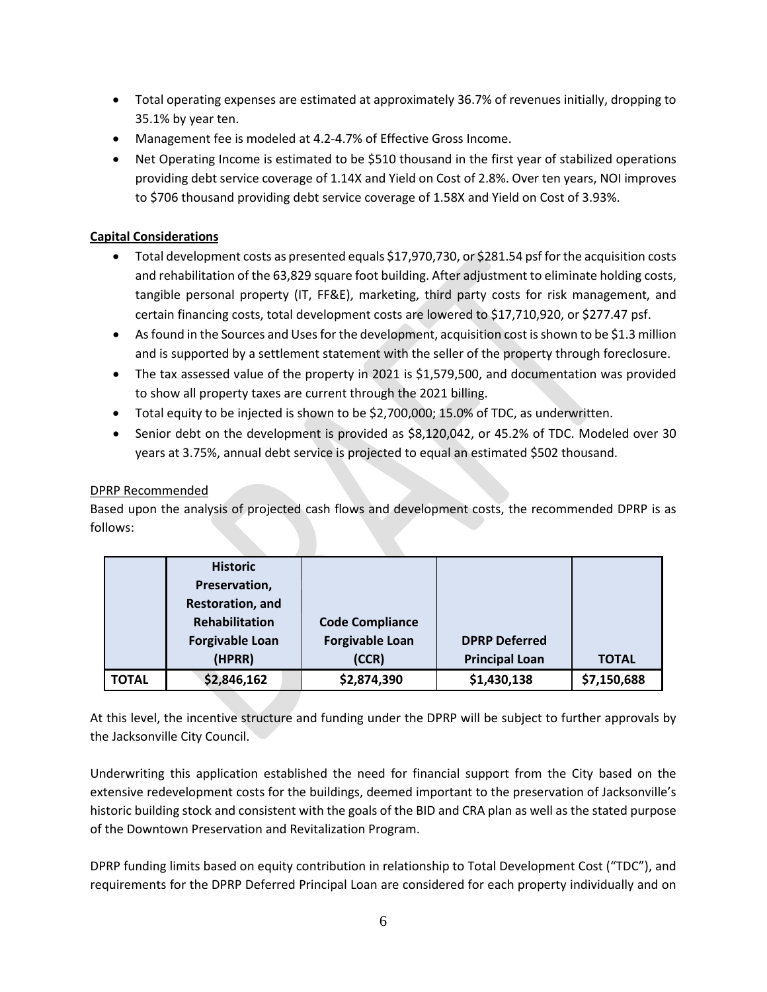- Total operating expenses are estimated at approximately 36.7% of revenues initially, dropping to 35.1% by year ten.
- Management fee is modeled at 4.2-4.7% of Effective Gross Income.
- Net Operating Income is estimated to be \$510 thousand in the first year of stabilized operations providing debt service coverage of 1.14X and Yield on Cost of 2.8%. Over ten years, NOI improves to \$706 thousand providing debt service coverage of 1.58X and Yield on Cost of 3.93%.

#### **Capital Considerations**

- Total development costs as presented equals \$17,970,730, or \$281.54 psf for the acquisition costs and rehabilitation of the 63,829 square foot building. After adjustment to eliminate holding costs, tangible personal property (IT, FF&E), marketing, third party costs for risk management, and certain financing costs, total development costs are lowered to \$17,710,920, or \$277.47 psf.
- As found in the Sources and Uses for the development, acquisition cost is shown to be \$1.3 million and is supported by a settlement statement with the seller of the property through foreclosure.
- The tax assessed value of the property in 2021 is \$1,579,500, and documentation was provided to show all property taxes are current through the 2021 billing.
- Total equity to be injected is shown to be \$2,700,000; 15.0% of TDC, as underwritten.
- Senior debt on the development is provided as \$8,120,042, or 45.2% of TDC. Modeled over 30 years at 3.75%, annual debt service is projected to equal an estimated \$502 thousand.

#### DPRP Recommended

Based upon the analysis of projected cash flows and development costs, the recommended DPRP is as follows:

|       | <b>Historic</b>        |                        |                       |              |
|-------|------------------------|------------------------|-----------------------|--------------|
|       | Preservation,          |                        |                       |              |
|       | Restoration, and       |                        |                       |              |
|       | Rehabilitation         | <b>Code Compliance</b> |                       |              |
|       | <b>Forgivable Loan</b> | <b>Forgivable Loan</b> | <b>DPRP Deferred</b>  |              |
|       | (HPRR)                 | (CCR)                  | <b>Principal Loan</b> | <b>TOTAL</b> |
| TOTAL | \$2,846,162            | \$2,874,390            | \$1,430,138           | \$7,150,688  |

At this level, the incentive structure and funding under the DPRP will be subject to further approvals by the Jacksonville City Council.

Underwriting this application established the need for financial support from the City based on the extensive redevelopment costs for the buildings, deemed important to the preservation of Jacksonville's historic building stock and consistent with the goals of the BID and CRA plan as well as the stated purpose of the Downtown Preservation and Revitalization Program.

DPRP funding limits based on equity contribution in relationship to Total Development Cost ("TDC"), and requirements for the DPRP Deferred Principal Loan are considered for each property individually and on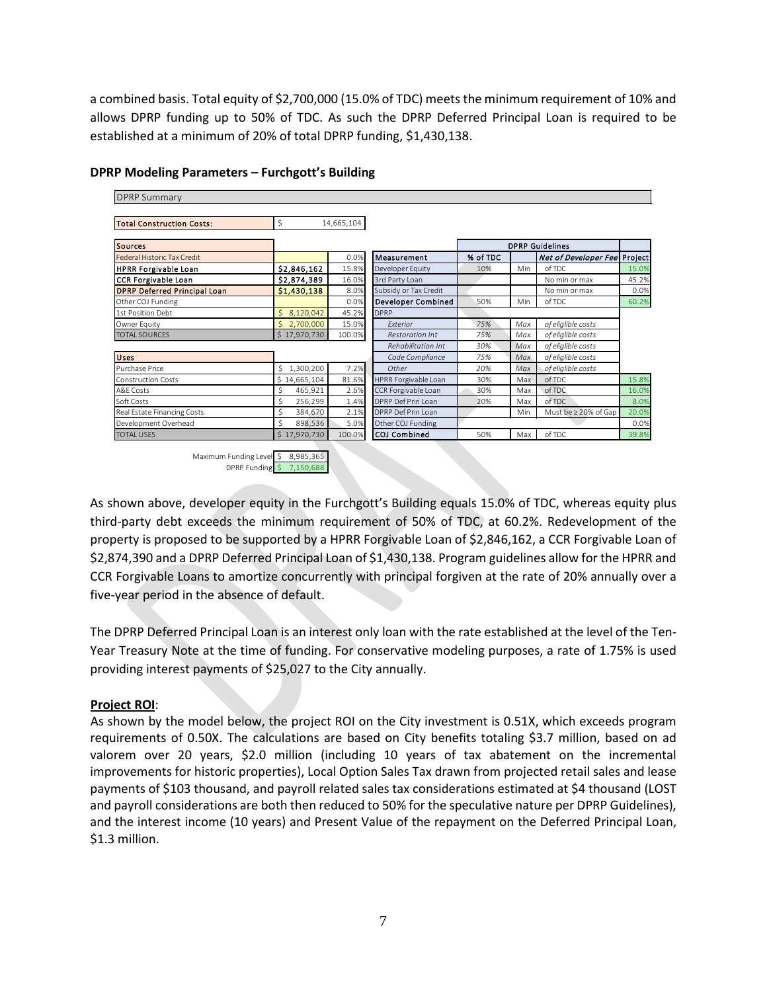a combined basis. Total equity of \$2,700,000 (15.0% of TDC) meets the minimum requirement of 10% and allows DPRP funding up to 50% of TDC. As such the DPRP Deferred Principal Loan is required to be established at a minimum of 20% of total DPRP funding, \$1,430,138.

| <b>Total Construction Costs:</b>    | \$             | 14,665,104 |                           |          |     |                              |       |
|-------------------------------------|----------------|------------|---------------------------|----------|-----|------------------------------|-------|
| <b>Sources</b>                      |                |            |                           |          |     | <b>DPRP Guidelines</b>       |       |
| Federal Historic Tax Credit         |                | 0.0%       | Measurement               | % of TDC |     | Net of Developer Fee Project |       |
| <b>HPRR Forgivable Loan</b>         | \$2,846,162    | 15.8%      | Developer Equity          | 10%      | Min | of TDC                       | 15.0% |
| <b>CCR Forgivable Loan</b>          | \$2,874,389    | 16.0%      | 3rd Party Loan            |          |     | No min or max                | 45.2% |
| <b>DPRP Deferred Principal Loan</b> | \$1,430,138    | 8.0%       | Subsidy or Tax Credit     |          |     | No min or max                | 0.0%  |
| Other COJ Funding                   |                | 0.0%       | <b>Developer Combined</b> | 50%      | Min | of TDC                       | 60.2% |
| 1st Position Debt                   | 8,120,042<br>Ś | 45.2%      | <b>DPRP</b>               |          |     |                              |       |
| Owner Equity                        | 2,700,000      | 15.0%      | Exterior                  | 75%      | Max | of eliglible costs           |       |
| <b>TOTAL SOURCES</b>                | \$17,970,730   | 100.0%     | <b>Restoration Int</b>    | 75%      | Max | of eliglible costs           |       |
|                                     |                |            | Rehabilitation Int        | 30%      | Max | of eliglible costs           |       |
| <b>Uses</b>                         |                |            | Code Compliance           | 75%      | Max | of eliglible costs           |       |
| Purchase Price                      | Ś<br>1,300,200 | 7.2%       | Other                     | 20%      | Max | of eliglible costs           |       |
| <b>Construction Costs</b>           | \$14,665,104   | 81.6%      | HPRR Forgivable Loan      | 30%      | Max | of TDC                       | 15.8% |
| A&F Costs                           | Ś<br>465,921   | 2.6%       | CCR Forgivable Loan       | 30%      | Max | of TDC                       | 16.0% |
| Soft Costs                          | 256,299        | 1.4%       | DPRP Def Prin Loan        | 20%      | Max | of TDC                       | 8.0%  |
| Real Estate Financing Costs         | Ś<br>384,670   | 2.1%       | DPRP Def Prin Loan        |          | Min | Must be ≥ 20% of Gap         | 20.0% |
| Development Overhead                | Ś<br>898,536   | 5.0%       | Other COJ Funding         |          |     |                              | 0.0%  |
| <b>TOTAL USES</b>                   | \$17,970,730   | 100.0%     | COJ Combined              | 50%      | Max | of TDC                       | 39.8% |

#### **DPRP Modeling Parameters – Furchgott's Building**

As shown above, developer equity in the Furchgott's Building equals 15.0% of TDC, whereas equity plus third-party debt exceeds the minimum requirement of 50% of TDC, at 60.2%. Redevelopment of the property is proposed to be supported by a HPRR Forgivable Loan of \$2,846,162, a CCR Forgivable Loan of \$2,874,390 and a DPRP Deferred Principal Loan of \$1,430,138. Program guidelines allow for the HPRR and CCR Forgivable Loans to amortize concurrently with principal forgiven at the rate of 20% annually over a five-year period in the absence of default.

The DPRP Deferred Principal Loan is an interest only loan with the rate established at the level of the Ten-Year Treasury Note at the time of funding. For conservative modeling purposes, a rate of 1.75% is used providing interest payments of \$25,027 to the City annually.

## **Project ROI**:

As shown by the model below, the project ROI on the City investment is 0.51X, which exceeds program requirements of 0.50X. The calculations are based on City benefits totaling \$3.7 million, based on ad valorem over 20 years, \$2.0 million (including 10 years of tax abatement on the incremental improvements for historic properties), Local Option Sales Tax drawn from projected retail sales and lease payments of \$103 thousand, and payroll related sales tax considerations estimated at \$4 thousand (LOST and payroll considerations are both then reduced to 50% for the speculative nature per DPRP Guidelines), and the interest income (10 years) and Present Value of the repayment on the Deferred Principal Loan, \$1.3 million.

Maximum Funding Level DPRP Funding \$ 7,150,688